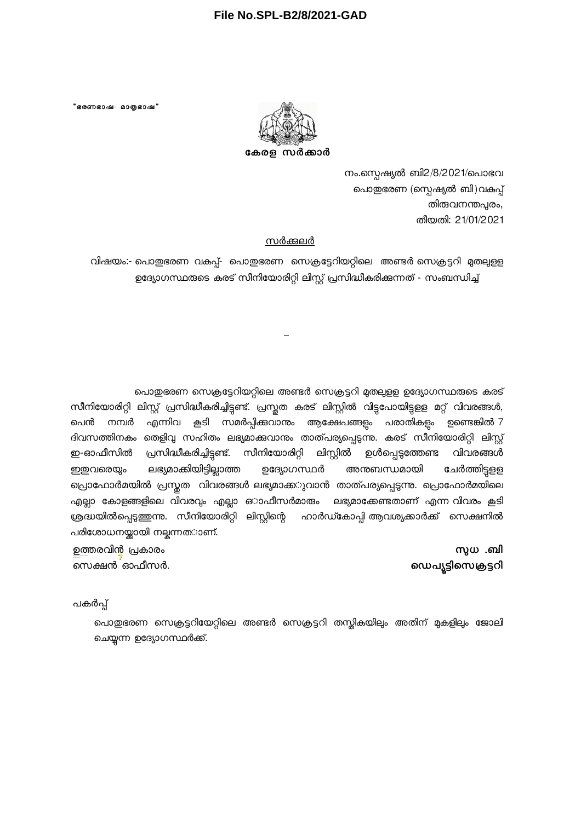## **File No.SPL-B2/8/2021-GAD**

"ഭരണഭാഷ- മാതൃഭാഷ"



നം.സ്പെഷ്യൽ ബി2/8/2021/പൊഭവ പൊതുഭരണ (സ്പെഷ്യൽ ബി)വകപ്പ് തിരുവനന്തപ്പരം, തീയതി: 21/01/2021

## സർക്കലർ

വിഷയം:- പൊതുഭരണ വകപ്പ്- പൊതുഭരണ സെക്രട്ടേറിയറ്റിലെ അണ്ടർ സെക്രട്ടറി മുതലുളള ഉദ്യോഗസ്ഥരുടെ കരട് സീനിയോരിറ്റി ലിസ്റ്റ് പ്രസിദ്ധീകരിക്കുന്നത് - സംബന്ധിച്ച്

പൊതുഭരണ സെക്രട്ടേറിയറ്റിലെ അണ്ടർ സെക്രട്ടറി മുതലുളള ഉദ്യോഗസ്ഥരുടെ കരട് സീനിയോരിറ്റി ലിസ്റ്റ് പ്രസിദ്ധീകരിച്ചിട്ടണ്ട്. പ്രസ്തത കരട് ലിസ്റ്റിൽ വിട്ടപോയിട്ടളള മറ്റ് വിവരങ്ങൾ, പെൻ നമ്പർ എന്നിവ കൂടി സമർപ്പിക്കവാനം ആക്ഷേപങ്ങളം പരാതികളം ഉണ്ടെങ്കിൽ 7 ദിവസത്തിനകം തെളിവു സഹിതം ലഭ്യമാക്കവാനം താത്പര്യപ്പെടുന്നു. കരട് സീനിയോരിറ്റി ലിസ്റ്റ് ഇ-ഓഫീസിൽ പ്രസിദ്ധീകരിച്ചിട്ടണ്ട്. സീനിയോരിറ്റി ലിസ്റ്റിൽ ഉൾപ്പെട്ടത്തേണ്ട വിവരങ്ങൾ ഇഇവരെയും ലഭ്യമാക്കിയിട്ടില്ലാത്ത ഉദ്യോഗസ്ഥർ അനുബന്ധമായി ചേർത്തിട്ടുളള പ്രൊഫോർമയിൽ പ്രസ്തത വിവരങ്ങൾ ലഭ്യമാക്ക**ുവാൻ താത്പര്യപ്പെട്ടന്നു. പ്രൊഫോർമയിലെ** എല്ലാ കോളങ്ങളിലെ വിവരവും എല്ലാ ഒാഫീസർമാരും ലഭ്യമാക്കേണ്ടതാണ് എന്ന വിവരം <del>ക</del>ൂടി ശ്രദ്ധയിൽപ്പെട്ടത്തന്ന. സീനിയോരിറ്റി ലിസ്റ്റിന്റെ ഹാർഡ്കോപ്പി ആവശ്യക്കാർക്ക് സെക്ഷനിൽ പരിശോധനയ്ക്കായി നല്ചന്നത**ാ**ണ്.

> സുധ $\ldots$ ബി ഡെപ്യട്ടിസെക്രട്ടറി

ഉത്തരവിൻ പ്രകാരം സെക്ഷൻ ഓഫീസർ. Date: 2021.01.22 16:00:08 ISTReason: Approved

പകർപ്പ്

പൊതുഭരണ സെക്രട്ടറിയേറ്റിലെ അണ്ടർ സെക്രട്ടറി തസ്കികയിലും അതിന് മുകളിലും ജോലി ചെയ്യന്ന ഉദ്യോഗസ്ഥർക്ക്.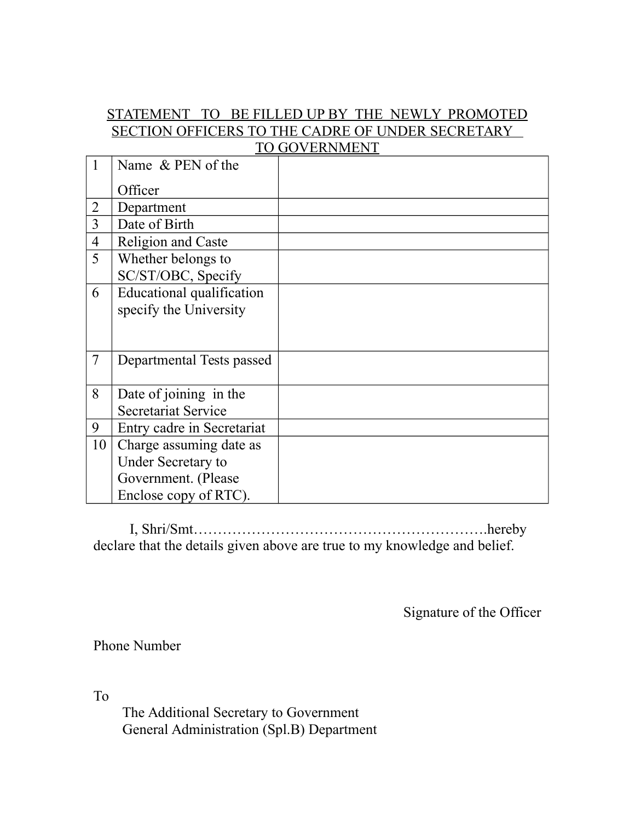## STATEMENT TO BE FILLED UP BY THE NEWLY PROMOTED SECTION OFFICERS TO THE CADRE OF UNDER SECRETARY TO GOVERNMENT

|                | Name & PEN of the          |  |
|----------------|----------------------------|--|
|                | Officer                    |  |
| $\overline{2}$ | Department                 |  |
| 3              | Date of Birth              |  |
| $\overline{4}$ | Religion and Caste         |  |
| 5              | Whether belongs to         |  |
|                | SC/ST/OBC, Specify         |  |
| 6              | Educational qualification  |  |
|                | specify the University     |  |
|                |                            |  |
|                |                            |  |
| $\overline{7}$ | Departmental Tests passed  |  |
|                |                            |  |
| 8              | Date of joining in the     |  |
|                | <b>Secretariat Service</b> |  |
| 9              | Entry cadre in Secretariat |  |
| 10             | Charge assuming date as    |  |
|                | <b>Under Secretary to</b>  |  |
|                | Government. (Please        |  |
|                | Enclose copy of RTC).      |  |

 I, Shri/Smt…………………………………………………….hereby declare that the details given above are true to my knowledge and belief.

Signature of the Officer

Phone Number

To

 The Additional Secretary to Government General Administration (Spl.B) Department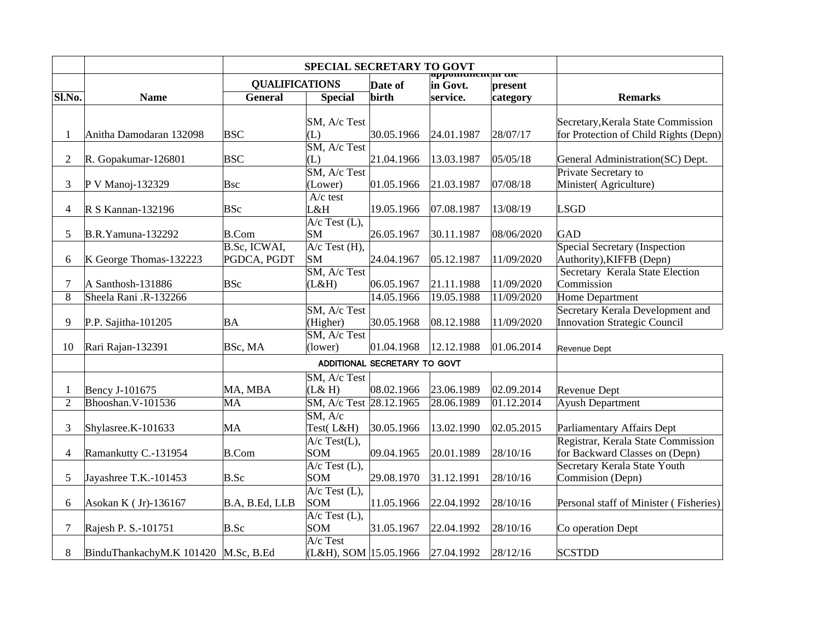|                                |                                      |                       | SPECIAL SECRETARY TO GOVT            |                              |                              |            |                                                                         |
|--------------------------------|--------------------------------------|-----------------------|--------------------------------------|------------------------------|------------------------------|------------|-------------------------------------------------------------------------|
|                                |                                      | <b>QUALIFICATIONS</b> |                                      | Date of                      | appomunentun tne<br>in Govt. | present    |                                                                         |
| Sl.No.                         | <b>Name</b>                          | <b>General</b>        | <b>Special</b>                       | birth                        | service.                     | category   | <b>Remarks</b>                                                          |
|                                |                                      |                       |                                      |                              |                              |            |                                                                         |
|                                |                                      |                       | SM, A/c Test                         |                              |                              |            | Secretary, Kerala State Commission                                      |
| $\mathbf{1}$                   | Anitha Damodaran 132098              | <b>BSC</b>            | (L)                                  | 30.05.1966                   | 24.01.1987                   | 28/07/17   | for Protection of Child Rights (Depn)                                   |
| $\overline{2}$                 |                                      | <b>BSC</b>            | SM, A/c Test<br>(L)                  | 21.04.1966                   | 13.03.1987                   | 05/05/18   |                                                                         |
|                                | R. Gopakumar-126801                  |                       | SM, A/c Test                         |                              |                              |            | General Administration(SC) Dept.<br>Private Secretary to                |
| 3                              | P V Manoj-132329                     | Bsc                   | (Lower)                              | 01.05.1966                   | 21.03.1987                   | 07/08/18   | Minister(Agriculture)                                                   |
|                                |                                      |                       | $A/c$ test                           |                              |                              |            |                                                                         |
| 4                              | $\mathbb{R}$ S Kannan-132196         | BSc                   | L&H                                  | 19.05.1966                   | 07.08.1987                   | 13/08/19   | <b>LSGD</b>                                                             |
|                                |                                      |                       | A/c Test (L),                        |                              |                              |            |                                                                         |
| 5                              | <b>B.R.Yamuna-132292</b>             | <b>B.Com</b>          | <b>SM</b>                            | 26.05.1967                   | 30.11.1987                   | 08/06/2020 | GAD                                                                     |
|                                |                                      | B.Sc, ICWAI,          | $A/c$ Test $(H)$ ,                   |                              |                              |            | <b>Special Secretary (Inspection</b>                                    |
| 6                              | K George Thomas-132223               | PGDCA, PGDT           | SM                                   | 24.04.1967                   | 05.12.1987                   | 11/09/2020 | Authority), KIFFB (Depn)                                                |
|                                |                                      |                       | SM, A/c Test                         |                              |                              |            | Secretary Kerala State Election                                         |
| 7                              | A Santhosh-131886                    | BSc                   | (L&H)                                | 06.05.1967                   | 21.11.1988                   | 11/09/2020 | Commission                                                              |
| 8                              | Sheela Rani .R-132266                |                       |                                      | 14.05.1966                   | 19.05.1988                   | 11/09/2020 | Home Department                                                         |
| 9                              |                                      | ΒA                    | SM, A/c Test                         | 30.05.1968                   | 08.12.1988                   | 11/09/2020 | Secretary Kerala Development and<br><b>Innovation Strategic Council</b> |
|                                | P.P. Sajitha-101205                  |                       | (Higher)<br>SM, A/c Test             |                              |                              |            |                                                                         |
| 10                             | Rari Rajan-132391                    | BSc, MA               | (lower)                              | 01.04.1968                   | 12.12.1988                   | 01.06.2014 | Revenue Dept                                                            |
|                                |                                      |                       |                                      |                              |                              |            |                                                                         |
|                                |                                      |                       |                                      | ADDITIONAL SECRETARY TO GOVT |                              |            |                                                                         |
|                                |                                      |                       | SM, A/c Test<br>(L& H)               | 08.02.1966                   | 23.06.1989                   | 02.09.2014 |                                                                         |
| $\mathbf{1}$<br>$\overline{2}$ | Bency J-101675<br>Bhooshan. V-101536 | MA, MBA<br>MA         | SM, A/c Test 28.12.1965              |                              | 28.06.1989                   | 01.12.2014 | <b>Revenue Dept</b><br><b>Ayush Department</b>                          |
|                                |                                      |                       | SM, A/c                              |                              |                              |            |                                                                         |
| 3                              | Shylasree.K-101633                   | MA                    | Test(L&H)                            | 30.05.1966                   | 13.02.1990                   | 02.05.2015 | Parliamentary Affairs Dept                                              |
|                                |                                      |                       | $A/c$ Test(L),                       |                              |                              |            | Registrar, Kerala State Commission                                      |
| $\overline{\mathcal{A}}$       | Ramankutty C.-131954                 | <b>B.Com</b>          | SOM                                  | 09.04.1965                   | 20.01.1989                   | 28/10/16   | for Backward Classes on (Depn)                                          |
|                                |                                      |                       | $A/c$ Test $(L)$ ,                   |                              |                              |            | Secretary Kerala State Youth                                            |
| 5                              | Jayashree T.K.-101453                | B.Sc                  | SOM                                  | 29.08.1970                   | 31.12.1991                   | 28/10/16   | Commision (Depn)                                                        |
|                                |                                      |                       | $A/c$ Test $(L)$ ,                   |                              |                              |            |                                                                         |
| 6                              | Asokan K (Jr)-136167                 | B.A, B.Ed, LLB        | <b>SOM</b>                           | 11.05.1966                   | 22.04.1992                   | 28/10/16   | Personal staff of Minister (Fisheries)                                  |
|                                |                                      |                       | A/c Test (L),                        |                              |                              |            |                                                                         |
| 7                              | Rajesh P. S.-101751                  | B.Sc                  | SOM                                  | 31.05.1967                   | 22.04.1992                   | 28/10/16   | Co operation Dept                                                       |
| 8                              | BinduThankachyM.K 101420 M.Sc, B.Ed  |                       | A/c Test<br>$(L&H)$ , SOM 15.05.1966 |                              | 27.04.1992                   | 28/12/16   | <b>SCSTDD</b>                                                           |
|                                |                                      |                       |                                      |                              |                              |            |                                                                         |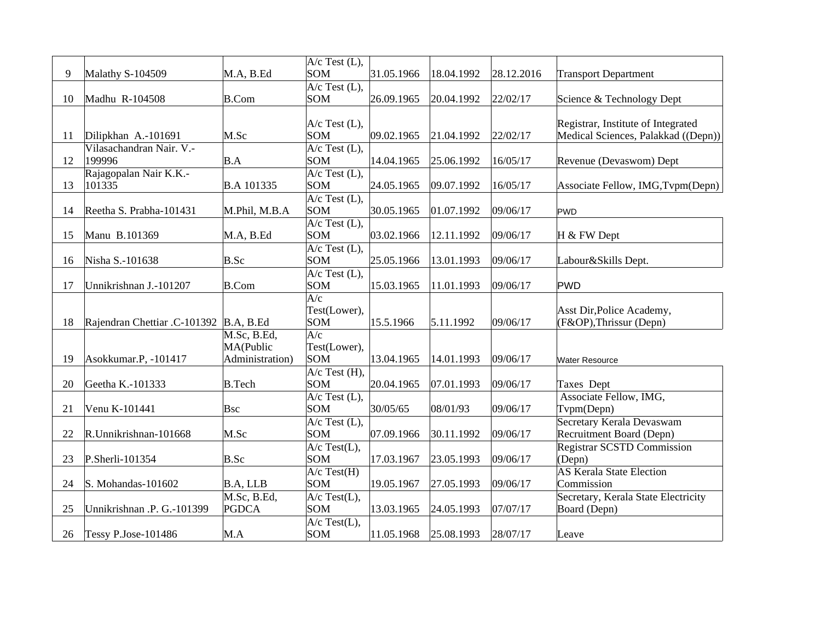|    |                                         |                   | $A/c$ Test (L),                  |            |            |            |                                         |
|----|-----------------------------------------|-------------------|----------------------------------|------------|------------|------------|-----------------------------------------|
| 9  | Malathy S-104509                        | M.A, B.Ed         | <b>SOM</b>                       | 31.05.1966 | 18.04.1992 | 28.12.2016 | <b>Transport Department</b>             |
|    |                                         |                   | $A/c$ Test (L),                  |            |            |            |                                         |
| 10 | Madhu R-104508                          | <b>B.Com</b>      | <b>SOM</b>                       | 26.09.1965 | 20.04.1992 | 22/02/17   | Science & Technology Dept               |
|    |                                         |                   | $A/c$ Test (L),                  |            |            |            | Registrar, Institute of Integrated      |
| 11 | Dilipkhan A.-101691                     | M.Sc              | <b>SOM</b>                       | 09.02.1965 | 21.04.1992 | 22/02/17   | Medical Sciences, Palakkad ((Depn))     |
|    | Vilasachandran Nair. V.-                |                   | $A/c$ Test (L),                  |            |            |            |                                         |
| 12 | 199996                                  | B.A               | <b>SOM</b>                       | 14.04.1965 | 25.06.1992 | 16/05/17   | Revenue (Devaswom) Dept                 |
|    | Rajagopalan Nair K.K.-                  |                   | $A/c$ Test (L),                  |            |            |            |                                         |
| 13 | 101335                                  | <b>B.A 101335</b> | <b>SOM</b>                       | 24.05.1965 | 09.07.1992 | 16/05/17   | Associate Fellow, IMG, Tvpm(Depn)       |
|    |                                         |                   | $A/c$ Test $(L)$ ,               |            |            |            |                                         |
| 14 | Reetha S. Prabha-101431                 | M.Phil, M.B.A     | <b>SOM</b>                       | 30.05.1965 | 01.07.1992 | 09/06/17   | <b>PWD</b>                              |
|    |                                         |                   | $A/c$ Test $(L)$ ,               |            |            |            |                                         |
| 15 | Manu B.101369                           | M.A, B.Ed         | <b>SOM</b>                       | 03.02.1966 | 12.11.1992 | 09/06/17   | H & FW Dept                             |
|    |                                         |                   | $A/c$ Test (L),                  |            |            |            |                                         |
| 16 | Nisha S.-101638                         | B.Sc              | <b>SOM</b><br>$A/c$ Test $(L)$ , | 25.05.1966 | 13.01.1993 | 09/06/17   | Labour&Skills Dept.                     |
| 17 | Unnikrishnan J.-101207                  | <b>B.Com</b>      | <b>SOM</b>                       | 15.03.1965 | 11.01.1993 | 09/06/17   | <b>PWD</b>                              |
|    |                                         |                   | $\overline{A/c}$                 |            |            |            |                                         |
|    |                                         |                   | Test(Lower),                     |            |            |            | Asst Dir, Police Academy,               |
| 18 | Rajendran Chettiar .C-101392  B.A, B.Ed |                   | <b>SOM</b>                       | 15.5.1966  | 5.11.1992  | 09/06/17   | (F&OP), Thrissur (Depn)                 |
|    |                                         | M.Sc, B.Ed,       | A/c                              |            |            |            |                                         |
|    |                                         | MA(Public         | Test(Lower),                     |            |            |            |                                         |
| 19 | Asokkumar.P, -101417                    | Administration)   | <b>SOM</b>                       | 13.04.1965 | 14.01.1993 | 09/06/17   | <b>Water Resource</b>                   |
|    |                                         |                   | $A/c$ Test $(H)$ ,               |            |            |            |                                         |
| 20 | Geetha K.-101333                        | <b>B.Tech</b>     | <b>SOM</b>                       | 20.04.1965 | 07.01.1993 | 09/06/17   | Taxes Dept                              |
|    |                                         |                   | $A/c$ Test $(L)$ ,               |            |            |            | Associate Fellow, IMG,                  |
| 21 | Venu K-101441                           | <b>Bsc</b>        | <b>SOM</b><br>$A/c$ Test $(L)$ , | 30/05/65   | 08/01/93   | 09/06/17   | Tvpm(Depn)<br>Secretary Kerala Devaswam |
| 22 | R.Unnikrishnan-101668                   | M.Sc              | <b>SOM</b>                       | 07.09.1966 | 30.11.1992 | 09/06/17   | Recruitment Board (Depn)                |
|    |                                         |                   | $A/c$ Test(L),                   |            |            |            | <b>Registrar SCSTD Commission</b>       |
| 23 | P.Sherli-101354                         | B.Sc              | <b>SOM</b>                       | 17.03.1967 | 23.05.1993 | 09/06/17   | (Depn)                                  |
|    |                                         |                   | $A/c$ Test(H)                    |            |            |            | <b>AS Kerala State Election</b>         |
| 24 | S. Mohandas-101602                      | B.A, LLB          | <b>SOM</b>                       | 19.05.1967 | 27.05.1993 | 09/06/17   | Commission                              |
|    |                                         | M.Sc, B.Ed,       | $A/c$ Test(L),                   |            |            |            | Secretary, Kerala State Electricity     |
| 25 | Unnikrishnan .P. G.-101399              | PGDCA             | <b>SOM</b>                       | 13.03.1965 | 24.05.1993 | 07/07/17   | Board (Depn)                            |
|    |                                         |                   | $A/c$ Test(L),                   |            |            |            |                                         |
| 26 | Tessy P.Jose-101486                     | M.A               | <b>SOM</b>                       | 11.05.1968 | 25.08.1993 | 28/07/17   | Leave                                   |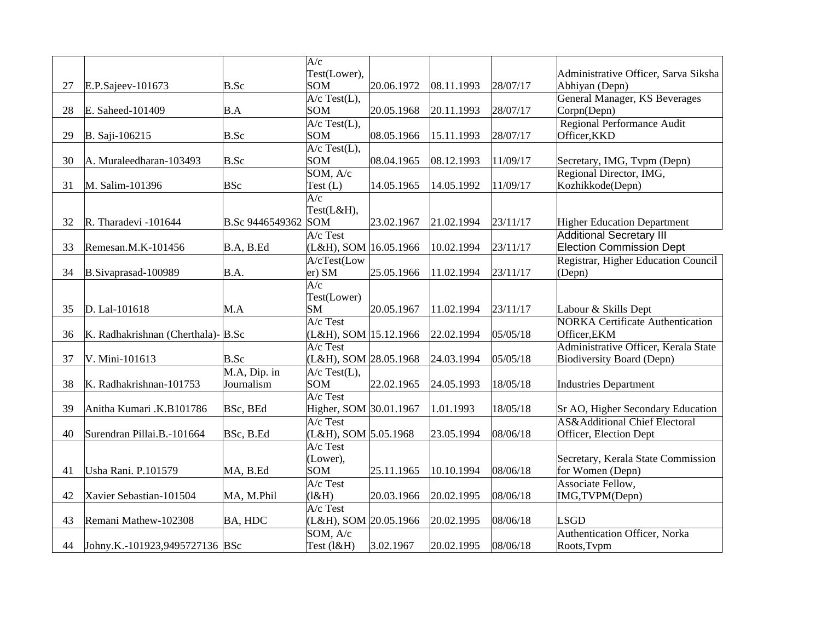|    |                                       |                     | A/c                        |            |            |          |                                                                    |
|----|---------------------------------------|---------------------|----------------------------|------------|------------|----------|--------------------------------------------------------------------|
|    |                                       |                     | Test(Lower),               |            |            |          | Administrative Officer, Sarva Siksha                               |
| 27 | E.P.Sajeev-101673                     | B.Sc                | SOM                        | 20.06.1972 | 08.11.1993 | 28/07/17 | Abhiyan (Depn)                                                     |
|    |                                       |                     | $A/c$ Test(L),             |            |            |          | General Manager, KS Beverages                                      |
| 28 | E. Saheed-101409                      | B.A                 | SOM                        | 20.05.1968 | 20.11.1993 | 28/07/17 | Corpn(Depn)                                                        |
|    |                                       |                     | $A/c$ Test $(L)$ ,         |            |            |          | Regional Performance Audit                                         |
| 29 | B. Saji-106215                        | B.Sc                | SOM                        | 08.05.1966 | 15.11.1993 | 28/07/17 | Officer, KKD                                                       |
|    |                                       |                     | $A/c$ Test $(L)$ ,         |            |            |          |                                                                    |
| 30 | A. Muraleedharan-103493               | B.Sc                | SOM                        | 08.04.1965 | 08.12.1993 | 11/09/17 | Secretary, IMG, Tvpm (Depn)                                        |
|    |                                       |                     | SOM, A/c                   |            |            |          | Regional Director, IMG,                                            |
| 31 | M. Salim-101396                       | <b>BSc</b>          | Test $(L)$                 | 14.05.1965 | 14.05.1992 | 11/09/17 | Kozhikkode(Depn)                                                   |
|    |                                       |                     | $\overline{A/c}$           |            |            |          |                                                                    |
|    |                                       |                     | Test(L&H),                 |            |            |          |                                                                    |
| 32 | R. Tharadevi -101644                  | B.Sc 9446549362 SOM |                            | 23.02.1967 | 21.02.1994 | 23/11/17 | <b>Higher Education Department</b>                                 |
| 33 |                                       |                     | A/c Test                   |            |            |          | <b>Additional Secretary III</b><br><b>Election Commission Dept</b> |
|    | Remesan.M.K-101456                    | B.A, B.Ed           | (L&H), SOM 16.05.1966      |            | 10.02.1994 | 23/11/17 |                                                                    |
| 34 |                                       | B.A.                | A/cTest(Low                | 25.05.1966 | 11.02.1994 |          | Registrar, Higher Education Council                                |
|    | B.Sivaprasad-100989                   |                     | er) SM<br>$\overline{A/c}$ |            |            | 23/11/17 | (Depn)                                                             |
|    |                                       |                     | Test(Lower)                |            |            |          |                                                                    |
| 35 | D. Lal-101618                         | M.A                 | SM                         | 20.05.1967 | 11.02.1994 | 23/11/17 | Labour & Skills Dept                                               |
|    |                                       |                     | $A/c$ Test                 |            |            |          | <b>NORKA Certificate Authentication</b>                            |
| 36 | K. Radhakrishnan (Cherthala)- $B.$ Sc |                     | (L&H), SOM 15.12.1966      |            | 22.02.1994 | 05/05/18 | Officer, EKM                                                       |
|    |                                       |                     | $A/c$ Test                 |            |            |          | Administrative Officer, Kerala State                               |
| 37 | V. Mini-101613                        | B.Sc                | (L&H), SOM 28.05.1968      |            | 24.03.1994 | 05/05/18 | <b>Biodiversity Board (Depn)</b>                                   |
|    |                                       | $M.A, Dip.$ in      | $A/c$ Test $(L)$ ,         |            |            |          |                                                                    |
| 38 | K. Radhakrishnan-101753               | Journalism          | SOM                        | 22.02.1965 | 24.05.1993 | 18/05/18 | <b>Industries Department</b>                                       |
|    |                                       |                     | $A/c$ Test                 |            |            |          |                                                                    |
| 39 | Anitha Kumari .K.B101786              | BSc, BEd            | Higher, SOM 30.01.1967     |            | 1.01.1993  | 18/05/18 | Sr AO, Higher Secondary Education                                  |
|    |                                       |                     | $A/c$ Test                 |            |            |          | <b>AS&amp;Additional Chief Electoral</b>                           |
| 40 | Surendran Pillai.B.-101664            | BSc, B.Ed           | (L&H), SOM 5.05.1968       |            | 23.05.1994 | 08/06/18 | Officer, Election Dept                                             |
|    |                                       |                     | $A/c$ Test                 |            |            |          |                                                                    |
|    |                                       |                     | (Lower),                   |            |            |          | Secretary, Kerala State Commission                                 |
| 41 | Usha Rani. P.101579                   | MA, B.Ed            | SOM                        | 25.11.1965 | 10.10.1994 | 08/06/18 | for Women (Depn)                                                   |
|    |                                       |                     | A/c Test                   |            |            |          | Associate Fellow,                                                  |
| 42 | Xavier Sebastian-101504               | MA, M.Phil          | (l&H)                      | 20.03.1966 | 20.02.1995 | 08/06/18 | IMG, TVPM(Depn)                                                    |
|    |                                       |                     | $A/c$ Test                 |            |            |          |                                                                    |
| 43 | Remani Mathew-102308                  | BA, HDC             | (L&H), SOM 20.05.1966      |            | 20.02.1995 | 08/06/18 | <b>LSGD</b>                                                        |
|    |                                       |                     | SOM, A/c                   |            |            |          | Authentication Officer, Norka                                      |
| 44 | Johny.K.-101923,9495727136 BSc        |                     | Test (1&H)                 | 3.02.1967  | 20.02.1995 | 08/06/18 | Roots, Tvpm                                                        |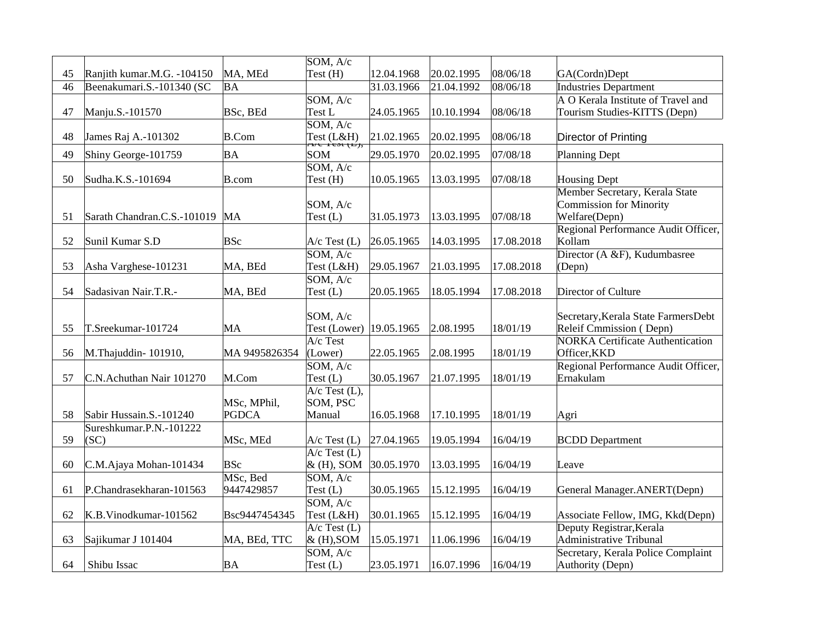|    |                             |                             | SOM, A/c                       |            |            |            |                                                                                   |
|----|-----------------------------|-----------------------------|--------------------------------|------------|------------|------------|-----------------------------------------------------------------------------------|
| 45 | Ranjith kumar.M.G. -104150  | MA, MEd                     | Test (H)                       | 12.04.1968 | 20.02.1995 | 08/06/18   | GA(Cordn)Dept                                                                     |
| 46 | Beenakumari.S.-101340 (SC   | ΒA                          |                                | 31.03.1966 | 21.04.1992 | 08/06/18   | <b>Industries Department</b>                                                      |
|    |                             |                             | SOM, A/c                       |            |            |            | A O Kerala Institute of Travel and                                                |
| 47 | Manju.S.-101570             | BSc, BEd                    | Test L                         | 24.05.1965 | 10.10.1994 | 08/06/18   | Tourism Studies-KITTS (Depn)                                                      |
|    |                             |                             | SOM, A/c                       |            |            |            |                                                                                   |
| 48 | James Raj A.-101302         | <b>B.Com</b>                | Test (L&H)<br>Tyc Test (L),    | 21.02.1965 | 20.02.1995 | 08/06/18   | Director of Printing                                                              |
| 49 | Shiny George-101759         | ΒA                          | SOM                            | 29.05.1970 | 20.02.1995 | 07/08/18   | Planning Dept                                                                     |
|    |                             |                             | SOM, A/c                       |            |            |            |                                                                                   |
| 50 | Sudha.K.S.-101694           | B.com                       | Test (H)                       | 10.05.1965 | 13.03.1995 | 07/08/18   | <b>Housing Dept</b>                                                               |
| 51 | Sarath Chandran.C.S.-101019 | <b>MA</b>                   | SOM, A/c<br>Test(L)            | 31.05.1973 | 13.03.1995 | 07/08/18   | Member Secretary, Kerala State<br><b>Commission for Minority</b><br>Welfare(Depn) |
| 52 | Sunil Kumar S.D             | <b>BSc</b>                  | $A/c$ Test $(L)$               | 26.05.1965 | 14.03.1995 | 17.08.2018 | Regional Performance Audit Officer,<br>Kollam                                     |
|    |                             |                             | SOM, A/c                       |            |            |            | Director (A &F), Kudumbasree                                                      |
| 53 | Asha Varghese-101231        | MA, BEd                     | Test (L&H)                     | 29.05.1967 | 21.03.1995 | 17.08.2018 | (Depn)                                                                            |
|    |                             |                             | SOM, A/c                       |            |            |            |                                                                                   |
| 54 | Sadasivan Nair.T.R.-        | MA, BEd                     | Test(L)                        | 20.05.1965 | 18.05.1994 | 17.08.2018 | Director of Culture                                                               |
| 55 | T.Sreekumar-101724          | MA                          | SOM, A/c<br>Test (Lower)       | 19.05.1965 | 2.08.1995  | 18/01/19   | Secretary, Kerala State Farmers Debt<br>Releif Cmmission (Depn)                   |
|    |                             |                             | $A/c$ Test                     |            |            |            | <b>NORKA Certificate Authentication</b>                                           |
| 56 | M.Thajuddin-101910,         | MA 9495826354               | (Lower)                        | 22.05.1965 | 2.08.1995  | 18/01/19   | Officer, KKD                                                                      |
| 57 | C.N.Achuthan Nair 101270    | M.Com                       | SOM, A/c                       | 30.05.1967 | 21.07.1995 | 18/01/19   | Regional Performance Audit Officer,<br>Ernakulam                                  |
|    |                             |                             | Test(L)<br>$A/c$ Test $(L)$ ,  |            |            |            |                                                                                   |
| 58 | Sabir Hussain.S.-101240     | MSc, MPhil,<br><b>PGDCA</b> | SOM, PSC<br>Manual             | 16.05.1968 | 17.10.1995 | 18/01/19   | Agri                                                                              |
|    | Sureshkumar.P.N.-101222     |                             |                                |            |            |            |                                                                                   |
| 59 | (SC)                        | MSc, MEd                    | $A/c$ Test $(L)$               | 27.04.1965 | 19.05.1994 | 16/04/19   | <b>BCDD</b> Department                                                            |
| 60 | C.M.Ajaya Mohan-101434      | <b>BSc</b>                  | $A/c$ Test $(L)$<br>& (H), SOM | 30.05.1970 | 13.03.1995 | 16/04/19   | Leave                                                                             |
| 61 | P.Chandrasekharan-101563    | MSc, Bed<br>9447429857      | SOM, A/c<br>Test (L)           | 30.05.1965 | 15.12.1995 | 16/04/19   | General Manager.ANERT(Depn)                                                       |
|    |                             |                             | SOM, A/c                       |            |            |            |                                                                                   |
| 62 | K.B.Vinodkumar-101562       | Bsc9447454345               | Test (L&H)                     | 30.01.1965 | 15.12.1995 | 16/04/19   | Associate Fellow, IMG, Kkd(Depn)                                                  |
|    |                             |                             | $A/c$ Test $(L)$               |            |            |            | Deputy Registrar, Kerala                                                          |
| 63 | Sajikumar J 101404          | MA, BEd, TTC                | & (H), SOM                     | 15.05.1971 | 11.06.1996 | 16/04/19   | <b>Administrative Tribunal</b>                                                    |
| 64 | Shibu Issac                 | <b>BA</b>                   | SOM, A/c<br>Test (L)           | 23.05.1971 | 16.07.1996 | 16/04/19   | Secretary, Kerala Police Complaint<br>Authority (Depn)                            |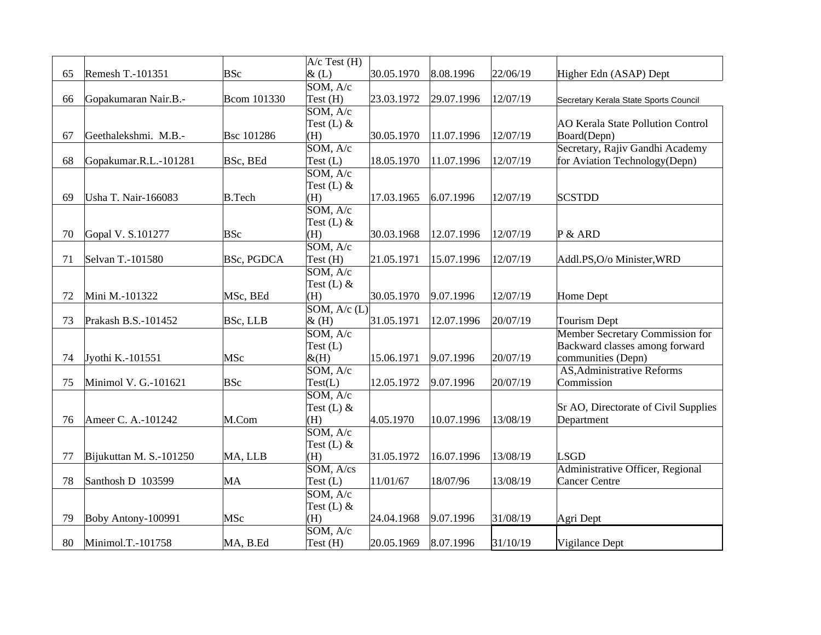|    |                         |                   | $A/c$ Test $(H)$   |            |            |          |                                          |
|----|-------------------------|-------------------|--------------------|------------|------------|----------|------------------------------------------|
| 65 | Remesh T.-101351        | <b>BSc</b>        | &(L)               | 30.05.1970 | 8.08.1996  | 22/06/19 | Higher Edn (ASAP) Dept                   |
|    |                         |                   | SOM, A/c           |            |            |          |                                          |
| 66 | Gopakumaran Nair.B.-    | Bcom 101330       | Test (H)           | 23.03.1972 | 29.07.1996 | 12/07/19 | Secretary Kerala State Sports Council    |
|    |                         |                   | SOM, A/c           |            |            |          |                                          |
|    |                         |                   | Test $(L)$ &       |            |            |          | <b>AO Kerala State Pollution Control</b> |
| 67 | Geethalekshmi. M.B.-    | <b>Bsc 101286</b> | (H)                | 30.05.1970 | 11.07.1996 | 12/07/19 | Board(Depn)                              |
|    |                         |                   | SOM, A/c           |            |            |          | Secretary, Rajiv Gandhi Academy          |
| 68 | Gopakumar.R.L.-101281   | BSc, BEd          | Test(L)            | 18.05.1970 | 11.07.1996 | 12/07/19 | for Aviation Technology(Depn)            |
|    |                         |                   | SOM, A/c           |            |            |          |                                          |
|    |                         |                   | Test $(L)$ &       |            |            |          |                                          |
| 69 | Usha T. Nair-166083     | <b>B.Tech</b>     | (H)                | 17.03.1965 | 6.07.1996  | 12/07/19 | <b>SCSTDD</b>                            |
|    |                         |                   | SOM, A/c           |            |            |          |                                          |
|    |                         |                   | Test $(L)$ &       |            |            |          |                                          |
| 70 | Gopal V. S.101277       | <b>BSc</b>        | (H)                | 30.03.1968 | 12.07.1996 | 12/07/19 | P & ARD                                  |
|    |                         |                   | SOM, A/c           |            |            |          |                                          |
| 71 | Selvan T.-101580        | <b>BSc, PGDCA</b> | Test (H)           | 21.05.1971 | 15.07.1996 | 12/07/19 | Addl.PS,O/o Minister, WRD                |
|    |                         |                   | SOM, A/c           |            |            |          |                                          |
|    |                         |                   | Test (L) &         |            |            |          |                                          |
| 72 | Mini M.-101322          | MSc, BEd          | (H)                | 30.05.1970 | 9.07.1996  | 12/07/19 | <b>Home Dept</b>                         |
|    |                         |                   | SOM, $A/c$ (L)     |            |            |          |                                          |
| 73 | Prakash B.S.-101452     | <b>BSc, LLB</b>   | &(H)               | 31.05.1971 | 12.07.1996 | 20/07/19 | <b>Tourism Dept</b>                      |
|    |                         |                   | SOM, A/c           |            |            |          | <b>Member Secretary Commission for</b>   |
|    |                         |                   | Test(L)            |            |            |          | Backward classes among forward           |
| 74 | Jyothi K.-101551        | MSc               | $&$ (H)            | 15.06.1971 | 9.07.1996  | 20/07/19 | communities (Depn)                       |
|    |                         |                   | SOM, A/c           |            |            |          | AS, Administrative Reforms               |
| 75 | Minimol V. G.-101621    | <b>BSc</b>        | Test(L)            | 12.05.1972 | 9.07.1996  | 20/07/19 | Commission                               |
|    |                         |                   | SOM, A/c           |            |            |          |                                          |
|    |                         |                   | Test $(L)$ &       |            |            |          | Sr AO, Directorate of Civil Supplies     |
| 76 | Ameer C. A.-101242      | M.Com             | (H)                | 4.05.1970  | 10.07.1996 | 13/08/19 | Department                               |
|    |                         |                   | SOM, A/c           |            |            |          |                                          |
|    |                         |                   | Test $(L)$ &       |            |            |          |                                          |
| 77 | Bijukuttan M. S.-101250 | MA, LLB           | (H)                | 31.05.1972 | 16.07.1996 | 13/08/19 | <b>LSGD</b>                              |
|    |                         |                   | $SOM, A/\text{cs}$ |            |            |          | Administrative Officer, Regional         |
| 78 | Santhosh D 103599       | MA                | Test $(L)$         | 11/01/67   | 18/07/96   | 13/08/19 | <b>Cancer Centre</b>                     |
|    |                         |                   | SOM, A/c           |            |            |          |                                          |
|    |                         |                   | Test $(L)$ &       |            |            |          |                                          |
| 79 | Boby Antony-100991      | MSc               | (H)                | 24.04.1968 | 9.07.1996  | 31/08/19 | Agri Dept                                |
|    |                         |                   | SOM, A/c           |            |            |          |                                          |
| 80 | Minimol.T.-101758       | MA, B.Ed          | Test (H)           | 20.05.1969 | 8.07.1996  | 31/10/19 | Vigilance Dept                           |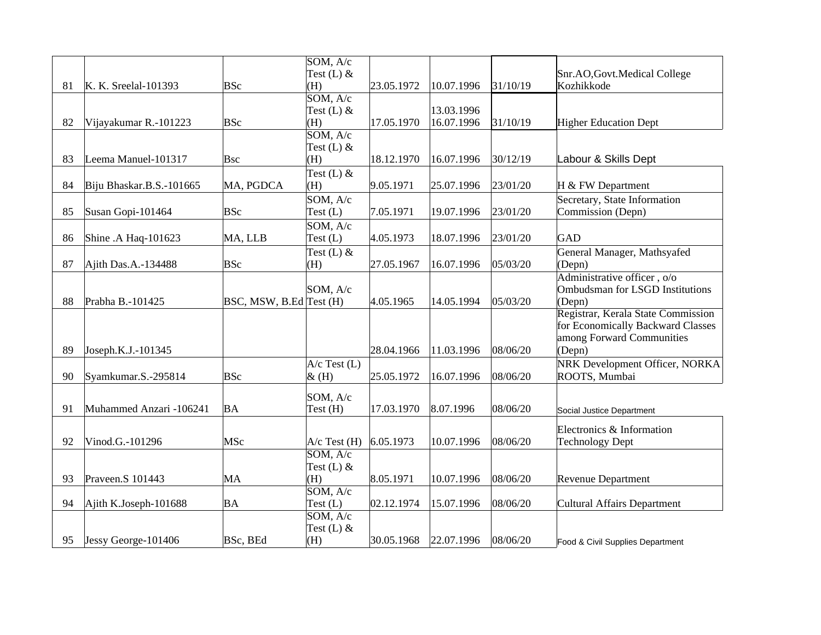|    |                          |                         | SOM, A/c            |            |            |          |                                                     |
|----|--------------------------|-------------------------|---------------------|------------|------------|----------|-----------------------------------------------------|
|    |                          |                         | Test $(L)$ &        |            |            |          | Snr.AO, Govt.Medical College                        |
| 81 | K. K. Sreelal-101393     | <b>BSc</b>              | (H)                 | 23.05.1972 | 10.07.1996 | 31/10/19 | Kozhikkode                                          |
|    |                          |                         | SOM, A/c            |            | 13.03.1996 |          |                                                     |
| 82 | Vijayakumar R.-101223    | <b>BSc</b>              | Test $(L)$ &<br>(H) | 17.05.1970 | 16.07.1996 | 31/10/19 | <b>Higher Education Dept</b>                        |
|    |                          |                         | SOM, A/c            |            |            |          |                                                     |
|    |                          |                         | Test $(L)$ &        |            |            |          |                                                     |
| 83 | Leema Manuel-101317      | Bsc                     | (H)                 | 18.12.1970 | 16.07.1996 | 30/12/19 | Labour & Skills Dept                                |
|    |                          |                         | Test (L) &          |            |            |          |                                                     |
| 84 | Biju Bhaskar.B.S.-101665 | MA, PGDCA               | (H)                 | 9.05.1971  | 25.07.1996 | 23/01/20 | H & FW Department                                   |
|    |                          |                         | SOM, A/c            |            |            |          | Secretary, State Information                        |
| 85 | Susan Gopi-101464        | <b>BSc</b>              | Test $(L)$          | 7.05.1971  | 19.07.1996 | 23/01/20 | Commission (Depn)                                   |
|    |                          |                         | SOM, A/c            |            |            |          |                                                     |
| 86 | Shine .A Haq-101623      | MA, LLB                 | Test $(L)$          | 4.05.1973  | 18.07.1996 | 23/01/20 | GAD                                                 |
|    |                          |                         | Test (L) &          |            |            |          | General Manager, Mathsyafed                         |
| 87 | Ajith Das.A.-134488      | <b>BSc</b>              | (H)                 | 27.05.1967 | 16.07.1996 | 05/03/20 | (Depn)                                              |
|    |                          |                         |                     |            |            |          | Administrative officer, o/o                         |
|    |                          |                         | SOM, A/c            |            |            |          | Ombudsman for LSGD Institutions                     |
| 88 | Prabha B.-101425         | BSC, MSW, B.Ed Test (H) |                     | 4.05.1965  | 14.05.1994 | 05/03/20 | (Depn)                                              |
|    |                          |                         |                     |            |            |          | Registrar, Kerala State Commission                  |
|    |                          |                         |                     |            |            |          | for Economically Backward Classes                   |
|    |                          |                         |                     |            |            |          | among Forward Communities                           |
| 89 | Joseph.K.J.-101345       |                         |                     | 28.04.1966 | 11.03.1996 | 08/06/20 | (Depn)                                              |
|    |                          |                         | $A/c$ Test (L)      |            |            |          | NRK Development Officer, NORKA                      |
| 90 | Syamkumar.S.-295814      | <b>BSc</b>              | $\&$ (H)            | 25.05.1972 | 16.07.1996 | 08/06/20 | ROOTS, Mumbai                                       |
|    |                          |                         | SOM, A/c            |            |            |          |                                                     |
| 91 | Muhammed Anzari -106241  | BA                      | Test (H)            | 17.03.1970 | 8.07.1996  | 08/06/20 | Social Justice Department                           |
|    |                          |                         |                     |            |            |          |                                                     |
| 92 | Vinod.G.-101296          | MSc                     | $A/c$ Test $(H)$    | 6.05.1973  | 10.07.1996 | 08/06/20 | Electronics & Information<br><b>Technology Dept</b> |
|    |                          |                         | SOM, A/c            |            |            |          |                                                     |
|    |                          |                         | Test (L) &          |            |            |          |                                                     |
| 93 | Praveen.S 101443         | MA                      | (H)                 | 8.05.1971  | 10.07.1996 | 08/06/20 | <b>Revenue Department</b>                           |
|    |                          |                         | SOM, A/c            |            |            |          |                                                     |
| 94 | Ajith K.Joseph-101688    | ΒA                      | Test (L)            | 02.12.1974 | 15.07.1996 | 08/06/20 | <b>Cultural Affairs Department</b>                  |
|    |                          |                         | SOM, A/c            |            |            |          |                                                     |
|    |                          |                         | Test $(L)$ &        |            |            |          |                                                     |
| 95 | Jessy George-101406      | <b>BSc, BEd</b>         | (H)                 | 30.05.1968 | 22.07.1996 | 08/06/20 | Food & Civil Supplies Department                    |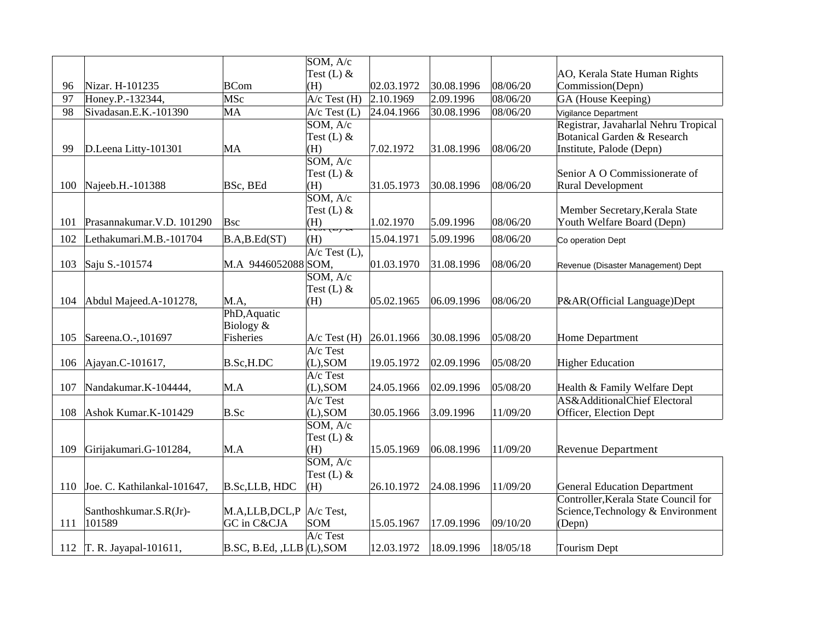|     |                             |                                 | SOM, A/c                     |            |            |          |                                         |
|-----|-----------------------------|---------------------------------|------------------------------|------------|------------|----------|-----------------------------------------|
|     |                             |                                 | Test $(L)$ &                 |            |            |          | AO, Kerala State Human Rights           |
| 96  | Nizar. H-101235             | <b>BCom</b>                     | (H)                          | 02.03.1972 | 30.08.1996 | 08/06/20 | Commission(Depn)                        |
| 97  | Honey.P.-132344,            | MSc                             | $A/c$ Test $(H)$             | 2.10.1969  | 2.09.1996  | 08/06/20 | GA (House Keeping)                      |
| 98  | Sivadasan.E.K.-101390       | MA                              | $A/c$ Test (L)               | 24.04.1966 | 30.08.1996 | 08/06/20 | Vigilance Department                    |
|     |                             |                                 | SOM, A/c                     |            |            |          | Registrar, Javaharlal Nehru Tropical    |
|     |                             |                                 | Test $(L)$ &                 |            |            |          | <b>Botanical Garden &amp; Research</b>  |
| 99  | D.Leena Litty-101301        | MA                              | (H)                          | 7.02.1972  | 31.08.1996 | 08/06/20 | Institute, Palode (Depn)                |
|     |                             |                                 | SOM, A/c                     |            |            |          |                                         |
|     |                             |                                 | Test (L) &                   |            |            |          | Senior A O Commissionerate of           |
| 100 | Najeeb.H.-101388            | BSc, BEd                        | (H)                          | 31.05.1973 | 30.08.1996 | 08/06/20 | Rural Development                       |
|     |                             |                                 | SOM, A/c                     |            |            |          |                                         |
|     |                             |                                 | Test $(L)$ &                 |            |            |          | Member Secretary, Kerala State          |
| 101 | Prasannakumar. V.D. 101290  | <b>Bsc</b>                      | (H)                          | 1.02.1970  | 5.09.1996  | 08/06/20 | Youth Welfare Board (Depn)              |
| 102 | Lethakumari.M.B.-101704     | B.A,B.Ed(ST)                    | (H)                          | 15.04.1971 | 5.09.1996  | 08/06/20 | Co operation Dept                       |
|     |                             |                                 | $A/c$ Test (L),              |            |            |          |                                         |
| 103 | Saju S.-101574              | M.A 9446052088 SOM,             |                              | 01.03.1970 | 31.08.1996 | 08/06/20 | Revenue (Disaster Management) Dept      |
|     |                             |                                 | SOM, A/c                     |            |            |          |                                         |
|     |                             |                                 | Test (L) &                   |            |            |          |                                         |
| 104 | Abdul Majeed.A-101278,      | M.A,                            | (H)                          | 05.02.1965 | 06.09.1996 | 08/06/20 | P&AR(Official Language)Dept             |
|     |                             | PhD, Aquatic                    |                              |            |            |          |                                         |
|     |                             | Biology &                       |                              |            |            |          |                                         |
| 105 | Sareena.O.-,101697          | Fisheries                       | $A/c$ Test $(H)$<br>A/c Test | 26.01.1966 | 30.08.1996 | 05/08/20 | <b>Home Department</b>                  |
| 106 |                             | B.Sc, H.DC                      | $(L)$ , SOM                  | 19.05.1972 | 02.09.1996 | 05/08/20 | <b>Higher Education</b>                 |
|     | Ajayan.C-101617,            |                                 | A/c Test                     |            |            |          |                                         |
| 107 | Nandakumar.K-104444,        | M.A                             | $(L)$ , SOM                  | 24.05.1966 | 02.09.1996 | 05/08/20 | Health & Family Welfare Dept            |
|     |                             |                                 | A/c Test                     |            |            |          | <b>AS&amp;AdditionalChief Electoral</b> |
| 108 | Ashok Kumar.K-101429        | B.Sc                            | $ $ (L),SOM                  | 30.05.1966 | 3.09.1996  | 11/09/20 | Officer, Election Dept                  |
|     |                             |                                 | SOM, A/c                     |            |            |          |                                         |
|     |                             |                                 | Test (L) &                   |            |            |          |                                         |
| 109 | Girijakumari.G-101284,      | M.A                             | (H)                          | 15.05.1969 | 06.08.1996 | 11/09/20 | <b>Revenue Department</b>               |
|     |                             |                                 | SOM, A/c                     |            |            |          |                                         |
|     |                             |                                 | Test $(L)$ &                 |            |            |          |                                         |
| 110 | Joe. C. Kathilankal-101647, | <b>B.Sc,LLB, HDC</b>            | (H)                          | 26.10.1972 | 24.08.1996 | 11/09/20 | <b>General Education Department</b>     |
|     |                             |                                 |                              |            |            |          | Controller, Kerala State Council for    |
|     | Santhoshkumar.S.R(Jr)-      | M.A,LLB,DCL,P                   | $A/c$ Test,                  |            |            |          | Science, Technology & Environment       |
| 111 | 101589                      | GC in C&CJA                     | <b>SOM</b>                   | 15.05.1967 | 17.09.1996 | 09/10/20 | (Depn)                                  |
|     |                             |                                 | $A/c$ Test                   |            |            |          |                                         |
|     | 112 T. R. Jayapal-101611,   | $B.$ SC, B.Ed, ,LLB $ $ (L),SOM |                              | 12.03.1972 | 18.09.1996 | 18/05/18 | <b>Tourism Dept</b>                     |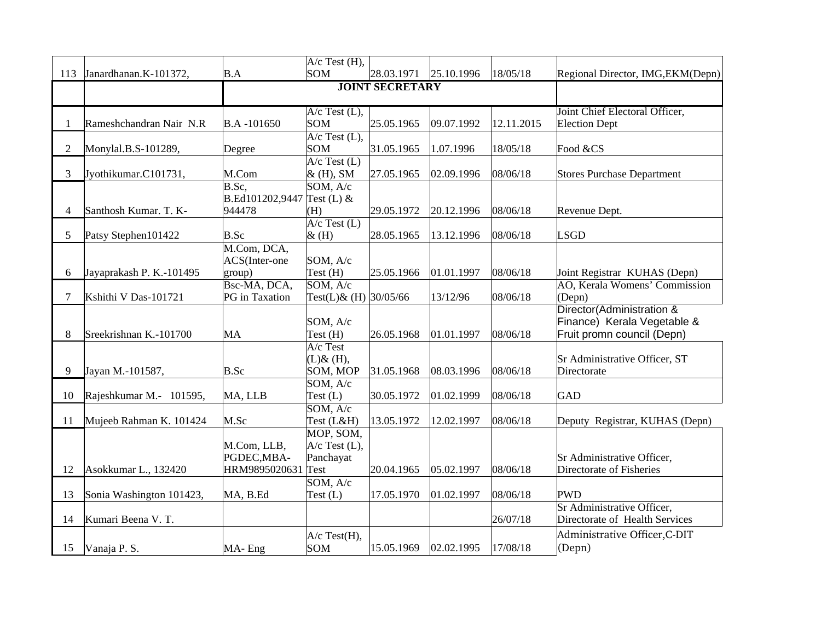|                |                          |                                                         | A/c Test (H),                                     |                        |            |            |                                                                                        |
|----------------|--------------------------|---------------------------------------------------------|---------------------------------------------------|------------------------|------------|------------|----------------------------------------------------------------------------------------|
| 113            | Janardhanan.K-101372,    | B.A                                                     | <b>SOM</b>                                        | 28.03.1971             | 25.10.1996 | 18/05/18   | Regional Director, IMG, EKM(Depn)                                                      |
|                |                          |                                                         |                                                   | <b>JOINT SECRETARY</b> |            |            |                                                                                        |
|                |                          |                                                         | $A/c$ Test $(L)$ ,                                |                        |            |            | Joint Chief Electoral Officer,                                                         |
| $\mathbf{1}$   | Rameshchandran Nair N.R  | B.A-101650                                              | SOM                                               | 25.05.1965             | 09.07.1992 | 12.11.2015 | <b>Election Dept</b>                                                                   |
| $\overline{2}$ | Monylal.B.S-101289,      | Degree                                                  | $A/c$ Test $(L)$ ,<br>SOM                         | 31.05.1965             | 1.07.1996  | 18/05/18   | Food &CS                                                                               |
| 3              | Jyothikumar.C101731,     | M.Com                                                   | $A/c$ Test $(L)$<br>& (H), SM                     | 27.05.1965             | 02.09.1996 | 08/06/18   | <b>Stores Purchase Department</b>                                                      |
| 4              | Santhosh Kumar. T. K-    | $\overline{\text{B.Sc}}$ ,<br>B.Ed101202,9447<br>944478 | SOM, A/c<br>Test $(L)$ &<br>(H)                   | 29.05.1972             | 20.12.1996 | 08/06/18   | Revenue Dept.                                                                          |
|                |                          |                                                         | $A/c$ Test $(L)$                                  |                        |            |            |                                                                                        |
| 5              | Patsy Stephen101422      | B.Sc                                                    | $\&$ (H)                                          | 28.05.1965             | 13.12.1996 | 08/06/18   | <b>LSGD</b>                                                                            |
| 6              | Jayaprakash P. K.-101495 | M.Com, DCA,<br>ACS(Inter-one<br>group)                  | SOM, A/c<br>$Test$ (H)                            | 25.05.1966             | 01.01.1997 | 08/06/18   | Joint Registrar KUHAS (Depn)                                                           |
|                |                          | Bsc-MA, DCA,                                            | SOM, A/c                                          |                        |            |            | AO, Kerala Womens' Commission                                                          |
| 7              | Kshithi V Das-101721     | <b>PG</b> in Taxation                                   | Test(L)& (H) 30/05/66                             |                        | 13/12/96   | 08/06/18   | (Depn)                                                                                 |
| 8              | Sreekrishnan K.-101700   | MA                                                      | SOM, A/c<br>Test (H)                              | 26.05.1968             | 01.01.1997 | 08/06/18   | Director(Administration &<br>Finance) Kerala Vegetable &<br>Fruit promn council (Depn) |
| 9              | Jayan M.-101587,         | B.Sc                                                    | $A/c$ Test<br>$(L)$ & $(H)$ ,<br>SOM, MOP         | 31.05.1968             | 08.03.1996 | 08/06/18   | Sr Administrative Officer, ST<br>Directorate                                           |
| 10             | Rajeshkumar M.- 101595,  | MA, LLB                                                 | SOM, A/c<br>Test $(L)$                            | 30.05.1972             | 01.02.1999 | 08/06/18   | <b>GAD</b>                                                                             |
| 11             | Mujeeb Rahman K. 101424  | M.Sc                                                    | SOM, A/c<br>Test (L&H)                            | 13.05.1972             | 12.02.1997 | 08/06/18   | Deputy Registrar, KUHAS (Depn)                                                         |
| 12             | Asokkumar L., 132420     | M.Com, LLB,<br>PGDEC, MBA-<br>HRM9895020631             | MOP, SOM,<br>$A/c$ Test (L),<br>Panchayat<br>Test | 20.04.1965             | 05.02.1997 | 08/06/18   | Sr Administrative Officer,<br>Directorate of Fisheries                                 |
| 13             | Sonia Washington 101423, | MA, B.Ed                                                | SOM, A/c<br>Test(L)                               | 17.05.1970             | 01.02.1997 | 08/06/18   | <b>PWD</b>                                                                             |
| 14             | Kumari Beena V. T.       |                                                         |                                                   |                        |            | 26/07/18   | Sr Administrative Officer,<br>Directorate of Health Services                           |
| 15             | Vanaja P.S.              | $MA-Eng$                                                | A/c Test(H),<br>SOM                               | 15.05.1969             | 02.02.1995 | 17/08/18   | Administrative Officer, C-DIT<br>(Depn)                                                |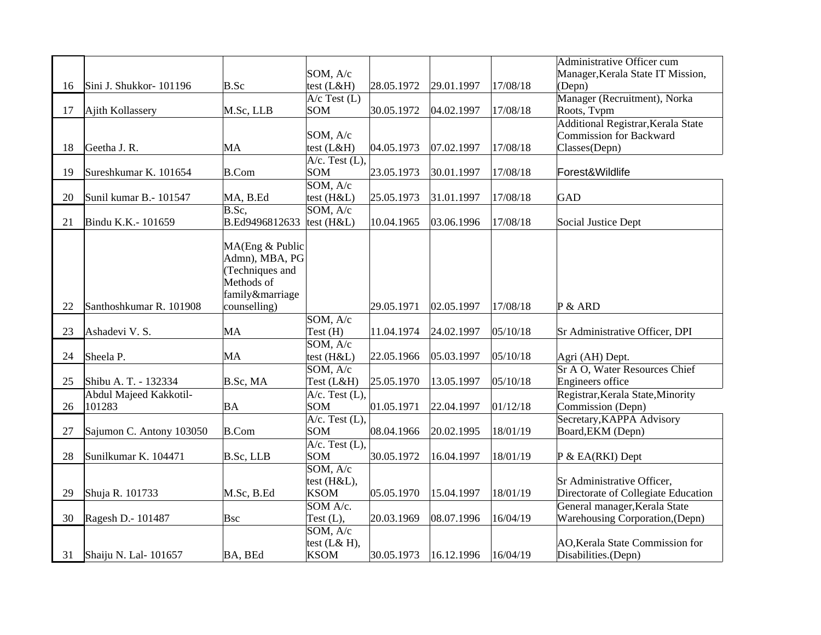|    |                                  |                 |                                     |            |            |          | Administrative Officer cum             |
|----|----------------------------------|-----------------|-------------------------------------|------------|------------|----------|----------------------------------------|
|    |                                  |                 | SOM, A/c                            |            |            |          | Manager, Kerala State IT Mission,      |
| 16 | Sini J. Shukkor-101196           | B.Sc            | test $(L&H)$                        | 28.05.1972 | 29.01.1997 | 17/08/18 | (Depn)                                 |
|    |                                  |                 | $A/c$ Test $(L)$                    |            |            |          | Manager (Recruitment), Norka           |
| 17 | Ajith Kollassery                 | M.Sc, LLB       | SOM                                 | 30.05.1972 | 04.02.1997 | 17/08/18 | Roots, Tvpm                            |
|    |                                  |                 |                                     |            |            |          | Additional Registrar, Kerala State     |
|    |                                  |                 | SOM, A/c                            |            |            |          | <b>Commission for Backward</b>         |
| 18 | Geetha J. R.                     | MA              | test (L&H)                          | 04.05.1973 | 07.02.1997 | 17/08/18 | Classes(Depn)                          |
|    |                                  |                 | $A/c.$ Test $(L)$ ,                 |            |            |          |                                        |
| 19 | Sureshkumar K. 101654            | <b>B.Com</b>    | SOM                                 | 23.05.1973 | 30.01.1997 | 17/08/18 | Forest&Wildlife                        |
|    |                                  |                 | SOM, A/c                            |            |            |          |                                        |
| 20 | Sunil kumar B.- 101547           | MA, B.Ed        | test (H&L)                          | 25.05.1973 | 31.01.1997 | 17/08/18 | GAD                                    |
|    |                                  | B.Sc,           | SOM, A/c                            |            |            |          |                                        |
| 21 | Bindu K.K.- 101659               | B.Ed9496812633  | test (H&L)                          | 10.04.1965 | 03.06.1996 | 17/08/18 | Social Justice Dept                    |
|    |                                  |                 |                                     |            |            |          |                                        |
|    |                                  | MA(Eng & Public |                                     |            |            |          |                                        |
|    |                                  | Admn), MBA, PG  |                                     |            |            |          |                                        |
|    |                                  | (Techniques and |                                     |            |            |          |                                        |
|    |                                  | Methods of      |                                     |            |            |          |                                        |
|    |                                  | family&marriage |                                     |            |            |          |                                        |
| 22 | Santhoshkumar R. 101908          | counselling)    |                                     | 29.05.1971 | 02.05.1997 | 17/08/18 | P & ARD                                |
|    |                                  |                 | SOM, A/c                            |            |            |          |                                        |
| 23 | Ashadevi V. S.                   | MA              | Test (H)                            | 11.04.1974 | 24.02.1997 | 05/10/18 | Sr Administrative Officer, DPI         |
|    |                                  |                 | $\overline{\text{SOM}, \text{A/c}}$ |            |            |          |                                        |
| 24 | Sheela P.                        | MA              | test (H&L)                          | 22.05.1966 | 05.03.1997 | 05/10/18 | Agri (AH) Dept.                        |
|    |                                  |                 | SOM, A/c                            |            |            |          | Sr A O, Water Resources Chief          |
| 25 | Shibu A. T. - 132334             | B.Sc, MA        | Test (L&H)                          | 25.05.1970 | 13.05.1997 | 05/10/18 | <b>Engineers office</b>                |
|    |                                  |                 |                                     |            |            |          |                                        |
| 26 | Abdul Majeed Kakkotil-<br>101283 | <b>BA</b>       | $A/c.$ Test $(L)$ ,<br>SOM          |            |            |          | Registrar, Kerala State, Minority      |
|    |                                  |                 |                                     | 01.05.1971 | 22.04.1997 | 01/12/18 | Commission (Depn)                      |
|    |                                  |                 | $A/c.$ Test $(L)$ ,                 |            |            |          | Secretary, KAPPA Advisory              |
| 27 | Sajumon C. Antony 103050         | <b>B.Com</b>    | SOM                                 | 08.04.1966 | 20.02.1995 | 18/01/19 | Board, EKM (Depn)                      |
|    |                                  |                 | $A/c.$ Test $(L),$                  |            |            |          |                                        |
| 28 | Sunilkumar K. 104471             | B.Sc, LLB       | SOM                                 | 30.05.1972 | 16.04.1997 | 18/01/19 | P & EA(RKI) Dept                       |
|    |                                  |                 | SOM, A/c                            |            |            |          |                                        |
|    |                                  |                 | test (H&L),                         |            |            |          | Sr Administrative Officer,             |
| 29 | Shuja R. 101733                  | M.Sc, B.Ed      | <b>KSOM</b>                         | 05.05.1970 | 15.04.1997 | 18/01/19 | Directorate of Collegiate Education    |
|    |                                  |                 | SOM A/c.                            |            |            |          | General manager, Kerala State          |
| 30 | Ragesh D.- 101487                | <b>Bsc</b>      | Test $(L)$ ,                        | 20.03.1969 | 08.07.1996 | 16/04/19 | <b>Warehousing Corporation, (Depn)</b> |
|    |                                  |                 | SOM, A/c                            |            |            |          |                                        |
|    |                                  |                 | test $(L& H)$ ,                     |            |            |          | AO, Kerala State Commission for        |
| 31 | Shaiju N. Lal- 101657            | BA, BEd         | <b>KSOM</b>                         | 30.05.1973 | 16.12.1996 | 16/04/19 | Disabilities.(Depn)                    |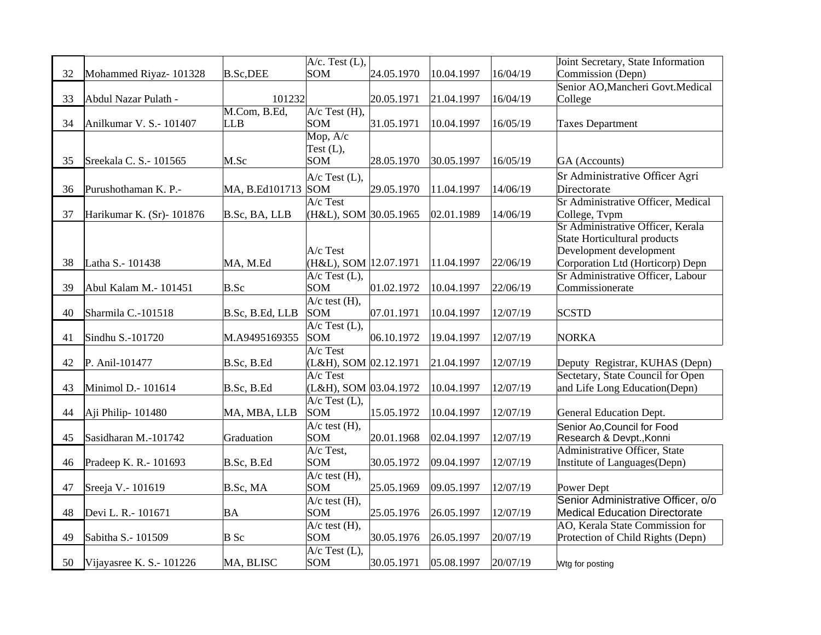| <b>SOM</b><br>32<br>Mohammed Riyaz- 101328<br><b>B.Sc,DEE</b><br>24.05.1970<br>10.04.1997<br>16/04/19<br>Commission (Depn)<br>Senior AO, Mancheri Govt. Medical<br>33<br>101232<br>20.05.1971<br>16/04/19<br>Abdul Nazar Pulath -<br>21.04.1997<br>College<br>M.Com, B.Ed,<br>$A/c$ Test $(H)$ ,<br>34<br>31.05.1971<br>Anilkumar V. S.- 101407<br>LLB<br><b>SOM</b><br>10.04.1997<br>16/05/19<br><b>Taxes Department</b><br>Mop, A/c<br>Test $(L)$ ,<br>35<br><b>SOM</b><br>Sreekala C. S.- 101565<br>M.Sc<br>28.05.1970<br>30.05.1997<br>16/05/19<br>GA (Accounts)<br>Sr Administrative Officer Agri<br>$A/c$ Test (L),<br>29.05.1970<br>Directorate<br>36<br>Purushothaman K. P.-<br>MA, B.Ed101713 SOM<br>14/06/19<br>11.04.1997<br>Sr Administrative Officer, Medical<br>A/c Test<br>37<br>Harikumar K. (Sr)-101876<br>B.Sc, BA, LLB<br>(H&L), SOM 30.05.1965<br>14/06/19<br>College, Tvpm<br>02.01.1989<br>Sr Administrative Officer, Kerala<br>State Horticultural products<br>Development development<br>$A/c$ Test<br>Corporation Ltd (Horticorp) Depn<br>Latha S.- 101438<br>MA, M.Ed<br>(H&L), SOM 12.07.1971<br>22/06/19<br>38<br>11.04.1997<br>Sr Administrative Officer, Labour<br>$\overline{A/c}$ Test (L),<br><b>SOM</b><br>01.02.1972<br>39<br>Abul Kalam M.- 101451<br>B.Sc<br>10.04.1997<br>22/06/19<br>Commissionerate<br>$A/c$ test $(H)$ ,<br><b>SOM</b><br>07.01.1971<br><b>SCSTD</b><br>40<br>Sharmila C.-101518<br>10.04.1997<br>12/07/19<br>B.Sc, B.Ed, LLB<br>$A/c$ Test $(L)$ ,<br>41<br>Sindhu S.-101720<br>M.A9495169355<br><b>SOM</b><br>06.10.1972<br>19.04.1997<br>12/07/19<br><b>NORKA</b><br>$A/c$ Test<br>42<br>P. Anil-101477<br>B.Sc, B.Ed<br>(L&H), SOM 02.12.1971<br>21.04.1997<br>12/07/19<br>Deputy Registrar, KUHAS (Depn)<br>Sectetary, State Council for Open<br>$A/c$ Test<br>12/07/19<br>and Life Long Education(Depn)<br>43<br>Minimol D.- 101614<br>B.Sc, B.Ed<br>(L&H), SOM 03.04.1972<br>10.04.1997<br>$A/c$ Test (L),<br><b>SOM</b><br>15.05.1972<br>10.04.1997<br>44<br>Aji Philip-101480<br>MA, MBA, LLB<br>12/07/19<br><b>General Education Dept.</b><br>$A/c$ test $(H)$ ,<br>Senior Ao, Council for Food<br><b>SOM</b><br>45<br>Sasidharan M.-101742<br>20.01.1968<br>02.04.1997<br>12/07/19<br>Graduation<br>Research & Devpt., Konni<br>A/c Test,<br>Administrative Officer, State<br>46<br><b>SOM</b><br>Institute of Languages(Depn)<br>Pradeep K. R.- 101693<br>B.Sc, B.Ed<br>30.05.1972<br>09.04.1997<br>12/07/19<br>$A/c$ test $(H)$ ,<br>47<br><b>SOM</b><br>25.05.1969<br>Sreeja V.- 101619<br>B.Sc, MA<br>09.05.1997<br>12/07/19<br><b>Power Dept</b><br>Senior Administrative Officer, o/o<br>$\overline{A/c}$ test (H),<br><b>SOM</b><br>25.05.1976<br><b>Medical Education Directorate</b><br>48<br>Devi L. R.- 101671<br>BA<br>26.05.1997<br>12/07/19 |  | $A/c.$ Test $(L),$ |  | Joint Secretary, State Information |
|-------------------------------------------------------------------------------------------------------------------------------------------------------------------------------------------------------------------------------------------------------------------------------------------------------------------------------------------------------------------------------------------------------------------------------------------------------------------------------------------------------------------------------------------------------------------------------------------------------------------------------------------------------------------------------------------------------------------------------------------------------------------------------------------------------------------------------------------------------------------------------------------------------------------------------------------------------------------------------------------------------------------------------------------------------------------------------------------------------------------------------------------------------------------------------------------------------------------------------------------------------------------------------------------------------------------------------------------------------------------------------------------------------------------------------------------------------------------------------------------------------------------------------------------------------------------------------------------------------------------------------------------------------------------------------------------------------------------------------------------------------------------------------------------------------------------------------------------------------------------------------------------------------------------------------------------------------------------------------------------------------------------------------------------------------------------------------------------------------------------------------------------------------------------------------------------------------------------------------------------------------------------------------------------------------------------------------------------------------------------------------------------------------------------------------------------------------------------------------------------------------------------------------------------------------------------------------------------------------------------------------------------------------------------------------------------------------------------------------------------------------------------------------------------------------------------------------|--|--------------------|--|------------------------------------|
|                                                                                                                                                                                                                                                                                                                                                                                                                                                                                                                                                                                                                                                                                                                                                                                                                                                                                                                                                                                                                                                                                                                                                                                                                                                                                                                                                                                                                                                                                                                                                                                                                                                                                                                                                                                                                                                                                                                                                                                                                                                                                                                                                                                                                                                                                                                                                                                                                                                                                                                                                                                                                                                                                                                                                                                                                               |  |                    |  |                                    |
|                                                                                                                                                                                                                                                                                                                                                                                                                                                                                                                                                                                                                                                                                                                                                                                                                                                                                                                                                                                                                                                                                                                                                                                                                                                                                                                                                                                                                                                                                                                                                                                                                                                                                                                                                                                                                                                                                                                                                                                                                                                                                                                                                                                                                                                                                                                                                                                                                                                                                                                                                                                                                                                                                                                                                                                                                               |  |                    |  |                                    |
|                                                                                                                                                                                                                                                                                                                                                                                                                                                                                                                                                                                                                                                                                                                                                                                                                                                                                                                                                                                                                                                                                                                                                                                                                                                                                                                                                                                                                                                                                                                                                                                                                                                                                                                                                                                                                                                                                                                                                                                                                                                                                                                                                                                                                                                                                                                                                                                                                                                                                                                                                                                                                                                                                                                                                                                                                               |  |                    |  |                                    |
|                                                                                                                                                                                                                                                                                                                                                                                                                                                                                                                                                                                                                                                                                                                                                                                                                                                                                                                                                                                                                                                                                                                                                                                                                                                                                                                                                                                                                                                                                                                                                                                                                                                                                                                                                                                                                                                                                                                                                                                                                                                                                                                                                                                                                                                                                                                                                                                                                                                                                                                                                                                                                                                                                                                                                                                                                               |  |                    |  |                                    |
|                                                                                                                                                                                                                                                                                                                                                                                                                                                                                                                                                                                                                                                                                                                                                                                                                                                                                                                                                                                                                                                                                                                                                                                                                                                                                                                                                                                                                                                                                                                                                                                                                                                                                                                                                                                                                                                                                                                                                                                                                                                                                                                                                                                                                                                                                                                                                                                                                                                                                                                                                                                                                                                                                                                                                                                                                               |  |                    |  |                                    |
|                                                                                                                                                                                                                                                                                                                                                                                                                                                                                                                                                                                                                                                                                                                                                                                                                                                                                                                                                                                                                                                                                                                                                                                                                                                                                                                                                                                                                                                                                                                                                                                                                                                                                                                                                                                                                                                                                                                                                                                                                                                                                                                                                                                                                                                                                                                                                                                                                                                                                                                                                                                                                                                                                                                                                                                                                               |  |                    |  |                                    |
|                                                                                                                                                                                                                                                                                                                                                                                                                                                                                                                                                                                                                                                                                                                                                                                                                                                                                                                                                                                                                                                                                                                                                                                                                                                                                                                                                                                                                                                                                                                                                                                                                                                                                                                                                                                                                                                                                                                                                                                                                                                                                                                                                                                                                                                                                                                                                                                                                                                                                                                                                                                                                                                                                                                                                                                                                               |  |                    |  |                                    |
|                                                                                                                                                                                                                                                                                                                                                                                                                                                                                                                                                                                                                                                                                                                                                                                                                                                                                                                                                                                                                                                                                                                                                                                                                                                                                                                                                                                                                                                                                                                                                                                                                                                                                                                                                                                                                                                                                                                                                                                                                                                                                                                                                                                                                                                                                                                                                                                                                                                                                                                                                                                                                                                                                                                                                                                                                               |  |                    |  |                                    |
|                                                                                                                                                                                                                                                                                                                                                                                                                                                                                                                                                                                                                                                                                                                                                                                                                                                                                                                                                                                                                                                                                                                                                                                                                                                                                                                                                                                                                                                                                                                                                                                                                                                                                                                                                                                                                                                                                                                                                                                                                                                                                                                                                                                                                                                                                                                                                                                                                                                                                                                                                                                                                                                                                                                                                                                                                               |  |                    |  |                                    |
|                                                                                                                                                                                                                                                                                                                                                                                                                                                                                                                                                                                                                                                                                                                                                                                                                                                                                                                                                                                                                                                                                                                                                                                                                                                                                                                                                                                                                                                                                                                                                                                                                                                                                                                                                                                                                                                                                                                                                                                                                                                                                                                                                                                                                                                                                                                                                                                                                                                                                                                                                                                                                                                                                                                                                                                                                               |  |                    |  |                                    |
|                                                                                                                                                                                                                                                                                                                                                                                                                                                                                                                                                                                                                                                                                                                                                                                                                                                                                                                                                                                                                                                                                                                                                                                                                                                                                                                                                                                                                                                                                                                                                                                                                                                                                                                                                                                                                                                                                                                                                                                                                                                                                                                                                                                                                                                                                                                                                                                                                                                                                                                                                                                                                                                                                                                                                                                                                               |  |                    |  |                                    |
|                                                                                                                                                                                                                                                                                                                                                                                                                                                                                                                                                                                                                                                                                                                                                                                                                                                                                                                                                                                                                                                                                                                                                                                                                                                                                                                                                                                                                                                                                                                                                                                                                                                                                                                                                                                                                                                                                                                                                                                                                                                                                                                                                                                                                                                                                                                                                                                                                                                                                                                                                                                                                                                                                                                                                                                                                               |  |                    |  |                                    |
|                                                                                                                                                                                                                                                                                                                                                                                                                                                                                                                                                                                                                                                                                                                                                                                                                                                                                                                                                                                                                                                                                                                                                                                                                                                                                                                                                                                                                                                                                                                                                                                                                                                                                                                                                                                                                                                                                                                                                                                                                                                                                                                                                                                                                                                                                                                                                                                                                                                                                                                                                                                                                                                                                                                                                                                                                               |  |                    |  |                                    |
|                                                                                                                                                                                                                                                                                                                                                                                                                                                                                                                                                                                                                                                                                                                                                                                                                                                                                                                                                                                                                                                                                                                                                                                                                                                                                                                                                                                                                                                                                                                                                                                                                                                                                                                                                                                                                                                                                                                                                                                                                                                                                                                                                                                                                                                                                                                                                                                                                                                                                                                                                                                                                                                                                                                                                                                                                               |  |                    |  |                                    |
|                                                                                                                                                                                                                                                                                                                                                                                                                                                                                                                                                                                                                                                                                                                                                                                                                                                                                                                                                                                                                                                                                                                                                                                                                                                                                                                                                                                                                                                                                                                                                                                                                                                                                                                                                                                                                                                                                                                                                                                                                                                                                                                                                                                                                                                                                                                                                                                                                                                                                                                                                                                                                                                                                                                                                                                                                               |  |                    |  |                                    |
|                                                                                                                                                                                                                                                                                                                                                                                                                                                                                                                                                                                                                                                                                                                                                                                                                                                                                                                                                                                                                                                                                                                                                                                                                                                                                                                                                                                                                                                                                                                                                                                                                                                                                                                                                                                                                                                                                                                                                                                                                                                                                                                                                                                                                                                                                                                                                                                                                                                                                                                                                                                                                                                                                                                                                                                                                               |  |                    |  |                                    |
|                                                                                                                                                                                                                                                                                                                                                                                                                                                                                                                                                                                                                                                                                                                                                                                                                                                                                                                                                                                                                                                                                                                                                                                                                                                                                                                                                                                                                                                                                                                                                                                                                                                                                                                                                                                                                                                                                                                                                                                                                                                                                                                                                                                                                                                                                                                                                                                                                                                                                                                                                                                                                                                                                                                                                                                                                               |  |                    |  |                                    |
|                                                                                                                                                                                                                                                                                                                                                                                                                                                                                                                                                                                                                                                                                                                                                                                                                                                                                                                                                                                                                                                                                                                                                                                                                                                                                                                                                                                                                                                                                                                                                                                                                                                                                                                                                                                                                                                                                                                                                                                                                                                                                                                                                                                                                                                                                                                                                                                                                                                                                                                                                                                                                                                                                                                                                                                                                               |  |                    |  |                                    |
|                                                                                                                                                                                                                                                                                                                                                                                                                                                                                                                                                                                                                                                                                                                                                                                                                                                                                                                                                                                                                                                                                                                                                                                                                                                                                                                                                                                                                                                                                                                                                                                                                                                                                                                                                                                                                                                                                                                                                                                                                                                                                                                                                                                                                                                                                                                                                                                                                                                                                                                                                                                                                                                                                                                                                                                                                               |  |                    |  |                                    |
|                                                                                                                                                                                                                                                                                                                                                                                                                                                                                                                                                                                                                                                                                                                                                                                                                                                                                                                                                                                                                                                                                                                                                                                                                                                                                                                                                                                                                                                                                                                                                                                                                                                                                                                                                                                                                                                                                                                                                                                                                                                                                                                                                                                                                                                                                                                                                                                                                                                                                                                                                                                                                                                                                                                                                                                                                               |  |                    |  |                                    |
|                                                                                                                                                                                                                                                                                                                                                                                                                                                                                                                                                                                                                                                                                                                                                                                                                                                                                                                                                                                                                                                                                                                                                                                                                                                                                                                                                                                                                                                                                                                                                                                                                                                                                                                                                                                                                                                                                                                                                                                                                                                                                                                                                                                                                                                                                                                                                                                                                                                                                                                                                                                                                                                                                                                                                                                                                               |  |                    |  |                                    |
|                                                                                                                                                                                                                                                                                                                                                                                                                                                                                                                                                                                                                                                                                                                                                                                                                                                                                                                                                                                                                                                                                                                                                                                                                                                                                                                                                                                                                                                                                                                                                                                                                                                                                                                                                                                                                                                                                                                                                                                                                                                                                                                                                                                                                                                                                                                                                                                                                                                                                                                                                                                                                                                                                                                                                                                                                               |  |                    |  |                                    |
|                                                                                                                                                                                                                                                                                                                                                                                                                                                                                                                                                                                                                                                                                                                                                                                                                                                                                                                                                                                                                                                                                                                                                                                                                                                                                                                                                                                                                                                                                                                                                                                                                                                                                                                                                                                                                                                                                                                                                                                                                                                                                                                                                                                                                                                                                                                                                                                                                                                                                                                                                                                                                                                                                                                                                                                                                               |  |                    |  |                                    |
|                                                                                                                                                                                                                                                                                                                                                                                                                                                                                                                                                                                                                                                                                                                                                                                                                                                                                                                                                                                                                                                                                                                                                                                                                                                                                                                                                                                                                                                                                                                                                                                                                                                                                                                                                                                                                                                                                                                                                                                                                                                                                                                                                                                                                                                                                                                                                                                                                                                                                                                                                                                                                                                                                                                                                                                                                               |  |                    |  |                                    |
|                                                                                                                                                                                                                                                                                                                                                                                                                                                                                                                                                                                                                                                                                                                                                                                                                                                                                                                                                                                                                                                                                                                                                                                                                                                                                                                                                                                                                                                                                                                                                                                                                                                                                                                                                                                                                                                                                                                                                                                                                                                                                                                                                                                                                                                                                                                                                                                                                                                                                                                                                                                                                                                                                                                                                                                                                               |  |                    |  |                                    |
|                                                                                                                                                                                                                                                                                                                                                                                                                                                                                                                                                                                                                                                                                                                                                                                                                                                                                                                                                                                                                                                                                                                                                                                                                                                                                                                                                                                                                                                                                                                                                                                                                                                                                                                                                                                                                                                                                                                                                                                                                                                                                                                                                                                                                                                                                                                                                                                                                                                                                                                                                                                                                                                                                                                                                                                                                               |  |                    |  |                                    |
|                                                                                                                                                                                                                                                                                                                                                                                                                                                                                                                                                                                                                                                                                                                                                                                                                                                                                                                                                                                                                                                                                                                                                                                                                                                                                                                                                                                                                                                                                                                                                                                                                                                                                                                                                                                                                                                                                                                                                                                                                                                                                                                                                                                                                                                                                                                                                                                                                                                                                                                                                                                                                                                                                                                                                                                                                               |  |                    |  |                                    |
|                                                                                                                                                                                                                                                                                                                                                                                                                                                                                                                                                                                                                                                                                                                                                                                                                                                                                                                                                                                                                                                                                                                                                                                                                                                                                                                                                                                                                                                                                                                                                                                                                                                                                                                                                                                                                                                                                                                                                                                                                                                                                                                                                                                                                                                                                                                                                                                                                                                                                                                                                                                                                                                                                                                                                                                                                               |  |                    |  |                                    |
|                                                                                                                                                                                                                                                                                                                                                                                                                                                                                                                                                                                                                                                                                                                                                                                                                                                                                                                                                                                                                                                                                                                                                                                                                                                                                                                                                                                                                                                                                                                                                                                                                                                                                                                                                                                                                                                                                                                                                                                                                                                                                                                                                                                                                                                                                                                                                                                                                                                                                                                                                                                                                                                                                                                                                                                                                               |  |                    |  |                                    |
|                                                                                                                                                                                                                                                                                                                                                                                                                                                                                                                                                                                                                                                                                                                                                                                                                                                                                                                                                                                                                                                                                                                                                                                                                                                                                                                                                                                                                                                                                                                                                                                                                                                                                                                                                                                                                                                                                                                                                                                                                                                                                                                                                                                                                                                                                                                                                                                                                                                                                                                                                                                                                                                                                                                                                                                                                               |  |                    |  |                                    |
|                                                                                                                                                                                                                                                                                                                                                                                                                                                                                                                                                                                                                                                                                                                                                                                                                                                                                                                                                                                                                                                                                                                                                                                                                                                                                                                                                                                                                                                                                                                                                                                                                                                                                                                                                                                                                                                                                                                                                                                                                                                                                                                                                                                                                                                                                                                                                                                                                                                                                                                                                                                                                                                                                                                                                                                                                               |  |                    |  |                                    |
|                                                                                                                                                                                                                                                                                                                                                                                                                                                                                                                                                                                                                                                                                                                                                                                                                                                                                                                                                                                                                                                                                                                                                                                                                                                                                                                                                                                                                                                                                                                                                                                                                                                                                                                                                                                                                                                                                                                                                                                                                                                                                                                                                                                                                                                                                                                                                                                                                                                                                                                                                                                                                                                                                                                                                                                                                               |  |                    |  |                                    |
|                                                                                                                                                                                                                                                                                                                                                                                                                                                                                                                                                                                                                                                                                                                                                                                                                                                                                                                                                                                                                                                                                                                                                                                                                                                                                                                                                                                                                                                                                                                                                                                                                                                                                                                                                                                                                                                                                                                                                                                                                                                                                                                                                                                                                                                                                                                                                                                                                                                                                                                                                                                                                                                                                                                                                                                                                               |  |                    |  |                                    |
|                                                                                                                                                                                                                                                                                                                                                                                                                                                                                                                                                                                                                                                                                                                                                                                                                                                                                                                                                                                                                                                                                                                                                                                                                                                                                                                                                                                                                                                                                                                                                                                                                                                                                                                                                                                                                                                                                                                                                                                                                                                                                                                                                                                                                                                                                                                                                                                                                                                                                                                                                                                                                                                                                                                                                                                                                               |  |                    |  |                                    |
|                                                                                                                                                                                                                                                                                                                                                                                                                                                                                                                                                                                                                                                                                                                                                                                                                                                                                                                                                                                                                                                                                                                                                                                                                                                                                                                                                                                                                                                                                                                                                                                                                                                                                                                                                                                                                                                                                                                                                                                                                                                                                                                                                                                                                                                                                                                                                                                                                                                                                                                                                                                                                                                                                                                                                                                                                               |  |                    |  |                                    |
| $A/c$ test $(H)$ ,<br>AO, Kerala State Commission for                                                                                                                                                                                                                                                                                                                                                                                                                                                                                                                                                                                                                                                                                                                                                                                                                                                                                                                                                                                                                                                                                                                                                                                                                                                                                                                                                                                                                                                                                                                                                                                                                                                                                                                                                                                                                                                                                                                                                                                                                                                                                                                                                                                                                                                                                                                                                                                                                                                                                                                                                                                                                                                                                                                                                                         |  |                    |  |                                    |
| <b>SOM</b><br>49<br>Sabitha S.- 101509<br><b>B</b> Sc<br>30.05.1976<br>26.05.1997<br>20/07/19<br>Protection of Child Rights (Depn)                                                                                                                                                                                                                                                                                                                                                                                                                                                                                                                                                                                                                                                                                                                                                                                                                                                                                                                                                                                                                                                                                                                                                                                                                                                                                                                                                                                                                                                                                                                                                                                                                                                                                                                                                                                                                                                                                                                                                                                                                                                                                                                                                                                                                                                                                                                                                                                                                                                                                                                                                                                                                                                                                            |  |                    |  |                                    |
| $A/c$ Test (L),                                                                                                                                                                                                                                                                                                                                                                                                                                                                                                                                                                                                                                                                                                                                                                                                                                                                                                                                                                                                                                                                                                                                                                                                                                                                                                                                                                                                                                                                                                                                                                                                                                                                                                                                                                                                                                                                                                                                                                                                                                                                                                                                                                                                                                                                                                                                                                                                                                                                                                                                                                                                                                                                                                                                                                                                               |  |                    |  |                                    |
| <b>SOM</b><br>50<br>MA, BLISC<br>30.05.1971<br> 05.08.1997<br>20/07/19<br>Vijayasree K. S.- 101226<br>Wtg for posting                                                                                                                                                                                                                                                                                                                                                                                                                                                                                                                                                                                                                                                                                                                                                                                                                                                                                                                                                                                                                                                                                                                                                                                                                                                                                                                                                                                                                                                                                                                                                                                                                                                                                                                                                                                                                                                                                                                                                                                                                                                                                                                                                                                                                                                                                                                                                                                                                                                                                                                                                                                                                                                                                                         |  |                    |  |                                    |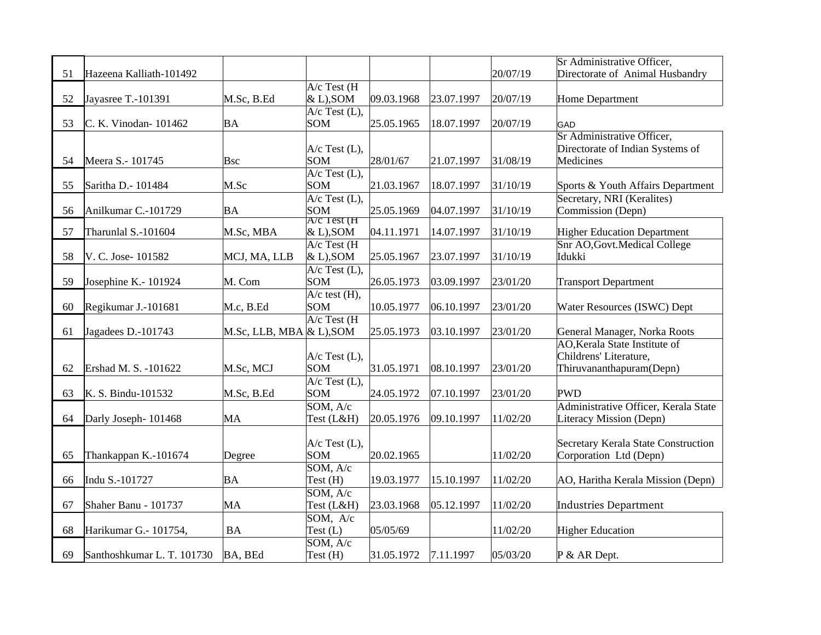|    |                            |                             |                    |            |            |          | Sr Administrative Officer,                                    |
|----|----------------------------|-----------------------------|--------------------|------------|------------|----------|---------------------------------------------------------------|
| 51 | Hazeena Kalliath-101492    |                             |                    |            |            | 20/07/19 | Directorate of Animal Husbandry                               |
|    |                            |                             | $A/c$ Test (H      |            |            |          |                                                               |
| 52 | Jayasree T.-101391         | M.Sc, B.Ed                  | $\&$ L), SOM       | 09.03.1968 | 23.07.1997 | 20/07/19 | <b>Home Department</b>                                        |
|    |                            |                             | A/c Test (L),      |            |            |          |                                                               |
| 53 | C. K. Vinodan-101462       | BA                          | <b>SOM</b>         | 25.05.1965 | 18.07.1997 | 20/07/19 | GAD                                                           |
|    |                            |                             |                    |            |            |          | <b>Sr Administrative Officer,</b>                             |
|    |                            |                             | $A/c$ Test (L),    |            |            |          | Directorate of Indian Systems of                              |
| 54 | Meera S.- 101745           | <b>Bsc</b>                  | <b>SOM</b>         | 28/01/67   | 21.07.1997 | 31/08/19 | Medicines                                                     |
|    |                            |                             | $A/c$ Test $(L)$ , |            |            |          |                                                               |
| 55 | Saritha D.- 101484         | M.Sc                        | SOM                | 21.03.1967 | 18.07.1997 | 31/10/19 | Sports & Youth Affairs Department                             |
|    |                            |                             | $A/c$ Test $(L)$ , |            |            |          | Secretary, NRI (Keralites)                                    |
| 56 | Anilkumar C.-101729        | BA                          | <b>SOM</b>         | 25.05.1969 | 04.07.1997 | 31/10/19 | Commission (Depn)                                             |
|    |                            |                             | A/C Test (H        |            |            |          |                                                               |
| 57 | Tharunlal S.-101604        | M.Sc, MBA                   | $\&$ L), SOM       | 04.11.1971 | 14.07.1997 | 31/10/19 | <b>Higher Education Department</b>                            |
|    |                            |                             | $A/c$ Test (H      |            |            |          | Snr AO, Govt. Medical College                                 |
| 58 | V. C. Jose- 101582         | MCJ, MA, LLB                | $\&$ L), SOM       | 25.05.1967 | 23.07.1997 | 31/10/19 | Idukki                                                        |
|    |                            |                             | A/c Test (L),      |            |            |          |                                                               |
| 59 | Josephine K.- 101924       | M. Com                      | SOM                | 26.05.1973 | 03.09.1997 | 23/01/20 | <b>Transport Department</b>                                   |
|    |                            |                             | $A/c$ test $(H)$ , |            |            |          |                                                               |
| 60 | Regikumar J.-101681        | M.c, B.Ed                   | <b>SOM</b>         | 10.05.1977 | 06.10.1997 | 23/01/20 | Water Resources (ISWC) Dept                                   |
| 61 |                            | $M.Sc$ , LLB, MBA & L), SOM | $A/c$ Test (H      | 25.05.1973 | 03.10.1997 | 23/01/20 |                                                               |
|    | Jagadees D.-101743         |                             |                    |            |            |          | General Manager, Norka Roots<br>AO, Kerala State Institute of |
|    |                            |                             | $A/c$ Test (L),    |            |            |          | Childrens' Literature,                                        |
| 62 | Ershad M. S. -101622       | M.Sc, MCJ                   | <b>SOM</b>         | 31.05.1971 | 08.10.1997 | 23/01/20 | Thiruvananthapuram(Depn)                                      |
|    |                            |                             | A/c Test (L),      |            |            |          |                                                               |
| 63 | K. S. Bindu-101532         | M.Sc, B.Ed                  | <b>SOM</b>         | 24.05.1972 | 07.10.1997 | 23/01/20 | <b>PWD</b>                                                    |
|    |                            |                             | SOM, A/c           |            |            |          | Administrative Officer, Kerala State                          |
| 64 | Darly Joseph-101468        | MA                          | Test (L&H)         | 20.05.1976 | 09.10.1997 | 11/02/20 | Literacy Mission (Depn)                                       |
|    |                            |                             |                    |            |            |          |                                                               |
|    |                            |                             | $A/c$ Test (L),    |            |            |          | Secretary Kerala State Construction                           |
| 65 | Thankappan K.-101674       | Degree                      | SOM                | 20.02.1965 |            | 11/02/20 | Corporation Ltd (Depn)                                        |
|    |                            |                             | SOM, A/c           |            |            |          |                                                               |
| 66 | Indu S.-101727             | ΒA                          | Test (H)           | 19.03.1977 | 15.10.1997 | 11/02/20 | AO, Haritha Kerala Mission (Depn)                             |
|    |                            |                             | SOM, A/c           |            |            |          |                                                               |
| 67 | Shaher Banu - 101737       | MA                          | Test (L&H)         | 23.03.1968 | 05.12.1997 | 11/02/20 | <b>Industries Department</b>                                  |
|    |                            |                             | SOM, A/c           |            |            |          |                                                               |
| 68 | Harikumar G.- 101754,      | <b>BA</b>                   | Test $(L)$         | 05/05/69   |            | 11/02/20 | <b>Higher Education</b>                                       |
|    |                            |                             | SOM, A/c           |            |            |          |                                                               |
| 69 | Santhoshkumar L. T. 101730 | BA, BEd                     | Test(H)            | 31.05.1972 | 7.11.1997  | 05/03/20 | P & AR Dept.                                                  |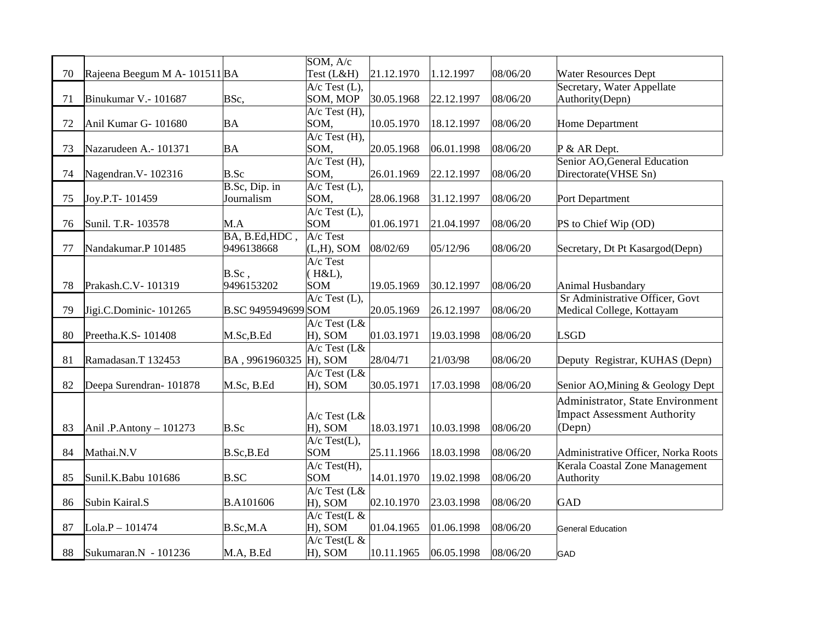| 70 | Rajeena Beegum M A- 101511 BA |                              | SOM, A/c<br>Test (L&H)        | 21.12.1970 | 1.12.1997  | 08/06/20 | <b>Water Resources Dept</b>         |
|----|-------------------------------|------------------------------|-------------------------------|------------|------------|----------|-------------------------------------|
|    |                               |                              | $A/c$ Test $(L)$ ,            |            |            |          | Secretary, Water Appellate          |
| 71 | Binukumar V.- 101687          | BSc,                         | SOM, MOP                      | 30.05.1968 | 22.12.1997 | 08/06/20 | Authority(Depn)                     |
|    |                               |                              | $A/c$ Test $(H)$ ,            |            |            |          |                                     |
| 72 | Anil Kumar G-101680           | <b>BA</b>                    | SOM,                          | 10.05.1970 | 18.12.1997 | 08/06/20 | <b>Home Department</b>              |
|    |                               |                              | $A/c$ Test $(H)$ ,            |            |            |          |                                     |
| 73 | Nazarudeen A.- 101371         | BA                           | SOM,                          | 20.05.1968 | 06.01.1998 | 08/06/20 | P & AR Dept.                        |
|    |                               |                              | $A/c$ Test $(H)$ ,            |            |            |          | Senior AO, General Education        |
| 74 | Nagendran. V-102316           | B.Sc                         | SOM,                          | 26.01.1969 | 22.12.1997 | 08/06/20 | Directorate(VHSE Sn)                |
|    |                               | B.Sc, Dip. in                | $A/c$ Test $(L)$ ,            |            |            |          |                                     |
| 75 | Joy.P.T-101459                | Journalism                   | SOM,                          | 28.06.1968 | 31.12.1997 | 08/06/20 | Port Department                     |
|    |                               |                              | $A/c$ Test $(L)$ ,            |            |            |          |                                     |
| 76 | Sunil. T.R- 103578            | M.A                          | SOM                           | 01.06.1971 | 21.04.1997 | 08/06/20 | PS to Chief Wip (OD)                |
| 77 |                               | BA, B.Ed, HDC,<br>9496138668 | A/c Test                      |            |            | 08/06/20 |                                     |
|    | Nandakumar.P 101485           |                              | $(L,H)$ , SOM<br>$A/c$ Test   | 08/02/69   | 05/12/96   |          | Secretary, Dt Pt Kasargod(Depn)     |
|    |                               | $B.Sc$ ,                     | (H&L),                        |            |            |          |                                     |
| 78 | Prakash.C.V-101319            | 9496153202                   | SOM                           | 19.05.1969 | 30.12.1997 | 08/06/20 | Animal Husbandary                   |
|    |                               |                              | $\overline{A/c}$ Test $(L)$ , |            |            |          | Sr Administrative Officer, Govt     |
| 79 | Jigi.C.Dominic-101265         | B.SC 9495949699 SOM          |                               | 20.05.1969 | 26.12.1997 | 08/06/20 | Medical College, Kottayam           |
|    |                               |                              | $A/c$ Test (L&                |            |            |          |                                     |
| 80 | Preetha.K.S-101408            | M.Sc,B.Ed                    | H), SOM                       | 01.03.1971 | 19.03.1998 | 08/06/20 | <b>LSGD</b>                         |
|    |                               |                              | $A/c$ Test (L&                |            |            |          |                                     |
| 81 | Ramadasan.T 132453            | BA, 9961960325 H), SOM       |                               | 28/04/71   | 21/03/98   | 08/06/20 | Deputy Registrar, KUHAS (Depn)      |
|    |                               |                              | $A/c$ Test (L&                |            |            |          |                                     |
| 82 | Deepa Surendran-101878        | M.Sc, B.Ed                   | H), SOM                       | 30.05.1971 | 17.03.1998 | 08/06/20 | Senior AO, Mining & Geology Dept    |
|    |                               |                              |                               |            |            |          | Administrator, State Environment    |
|    |                               |                              | A/c Test (L&                  |            |            |          | <b>Impact Assessment Authority</b>  |
| 83 | Anil .P.Antony - 101273       | <b>B.Sc</b>                  | H), SOM                       | 18.03.1971 | 10.03.1998 | 08/06/20 | (Depn)                              |
|    |                               |                              | $A/c$ Test(L),                |            |            |          |                                     |
| 84 | Mathai.N.V                    | B.Sc,B.Ed                    | SOM                           | 25.11.1966 | 18.03.1998 | 08/06/20 | Administrative Officer, Norka Roots |
|    |                               |                              | $A/c$ Test(H),                |            |            |          | Kerala Coastal Zone Management      |
| 85 | Sunil.K.Babu 101686           | <b>B.SC</b>                  | SOM                           | 14.01.1970 | 19.02.1998 | 08/06/20 | Authority                           |
|    |                               |                              | $A/c$ Test (L&                |            |            |          |                                     |
| 86 | Subin Kairal.S                | B.A101606                    | H), SOM                       | 02.10.1970 | 23.03.1998 | 08/06/20 | <b>GAD</b>                          |
|    |                               |                              | $A/c$ Test(L &                |            |            |          |                                     |
| 87 | Lola.P-101474                 | B.Sc,M.A                     | H), SOM                       | 01.04.1965 | 01.06.1998 | 08/06/20 | <b>General Education</b>            |
|    |                               |                              | $A/c$ Test(L &                |            |            |          |                                     |
| 88 | Sukumaran.N - 101236          | M.A, B.Ed                    | H), SOM                       | 10.11.1965 | 06.05.1998 | 08/06/20 | <b>GAD</b>                          |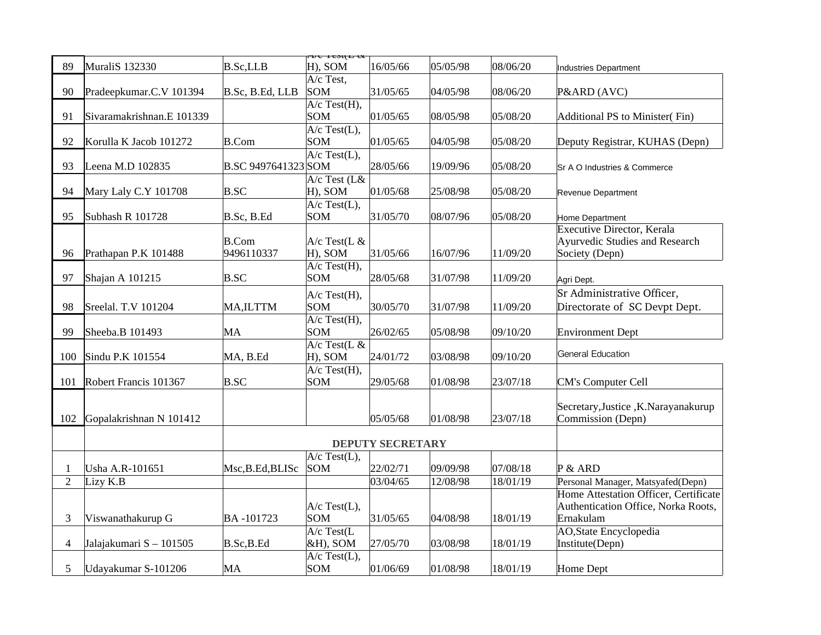|                |                           |                            | $\overline{\text{11}}$ $\text{12}$ $\text{13}$ |                         |          |          |                                                  |
|----------------|---------------------------|----------------------------|------------------------------------------------|-------------------------|----------|----------|--------------------------------------------------|
| 89             | MuraliS 132330            | B.Sc, LLB                  | $ H$ ), SOM                                    | 16/05/66                | 05/05/98 | 08/06/20 | <b>Industries Department</b>                     |
|                |                           |                            | $A/c$ Test,                                    |                         |          |          |                                                  |
| 90             | Pradeepkumar.C.V 101394   | B.Sc, B.Ed, LLB            | <b>SOM</b>                                     | 31/05/65                | 04/05/98 | 08/06/20 | P&ARD (AVC)                                      |
|                |                           |                            | $A/c$ Test $(H)$ ,<br><b>SOM</b>               |                         |          |          |                                                  |
| 91             | Sivaramakrishnan.E 101339 |                            | $A/c$ Test(L),                                 | 01/05/65                | 08/05/98 | 05/08/20 | Additional PS to Minister(Fin)                   |
| 92             | Korulla K Jacob 101272    | <b>B.Com</b>               | <b>SOM</b>                                     | 01/05/65                | 04/05/98 | 05/08/20 | Deputy Registrar, KUHAS (Depn)                   |
|                |                           |                            | $A/c$ Test(L),                                 |                         |          |          |                                                  |
| 93             | Leena M.D 102835          | B.SC 9497641323 SOM        |                                                | 28/05/66                | 19/09/96 | 05/08/20 | Sr A O Industries & Commerce                     |
|                |                           |                            | A/c Test (L&                                   |                         |          |          |                                                  |
| 94             | Mary Laly C.Y 101708      | $B.$ sc                    | H), SOM                                        | 01/05/68                | 25/08/98 | 05/08/20 | Revenue Department                               |
|                |                           |                            | A/c Test(L),                                   |                         |          |          |                                                  |
| 95             | Subhash R 101728          | B.Sc, B.Ed                 | SOM                                            | 31/05/70                | 08/07/96 | 05/08/20 | Home Department                                  |
|                |                           |                            |                                                |                         |          |          | <b>Executive Director, Kerala</b>                |
| 96             | Prathapan P.K 101488      | <b>B.Com</b><br>9496110337 | $A/c$ Test(L &<br>H), SOM                      | 31/05/66                | 16/07/96 | 11/09/20 | Ayurvedic Studies and Research<br>Society (Depn) |
|                |                           |                            | $A/c$ Test(H),                                 |                         |          |          |                                                  |
| 97             | Shajan A 101215           | $B.$ sc                    | <b>SOM</b>                                     | 28/05/68                | 31/07/98 | 11/09/20 | Agri Dept.                                       |
|                |                           |                            |                                                |                         |          |          | Sr Administrative Officer,                       |
| 98             | Sreelal. T.V 101204       | MA, ILTTM                  | A/c Test(H),<br>SOM                            | 30/05/70                | 31/07/98 | 11/09/20 | Directorate of SC Devpt Dept.                    |
|                |                           |                            | $A/c$ Test(H),                                 |                         |          |          |                                                  |
| 99             | Sheeba.B 101493           | MA                         | SOM                                            | 26/02/65                | 05/08/98 | 09/10/20 | <b>Environment Dept</b>                          |
|                |                           |                            | $A/c$ Test(L &                                 |                         |          |          |                                                  |
| 100            | Sindu P.K 101554          | MA, B.Ed                   | H), SOM                                        | 24/01/72                | 03/08/98 | 09/10/20 | General Education                                |
|                |                           |                            | $A/c$ Test(H),                                 |                         |          |          |                                                  |
| 101            | Robert Francis 101367     | $B.$ sc                    | <b>SOM</b>                                     | 29/05/68                | 01/08/98 | 23/07/18 | <b>CM's Computer Cell</b>                        |
|                |                           |                            |                                                |                         |          |          |                                                  |
|                |                           |                            |                                                |                         |          |          | Secretary, Justice, K.Narayanakurup              |
| 102            | Gopalakrishnan N 101412   |                            |                                                | 05/05/68                | 01/08/98 | 23/07/18 | Commission (Depn)                                |
|                |                           |                            |                                                | <b>DEPUTY SECRETARY</b> |          |          |                                                  |
|                |                           |                            | $A/c$ Test(L),                                 |                         |          |          |                                                  |
| 1              | Usha A.R-101651           | Msc, B.Ed, BLISc           | <b>SOM</b>                                     | 22/02/71                | 09/09/98 | 07/08/18 | P & ARD                                          |
| $\overline{2}$ | Lizy K.B                  |                            |                                                | 03/04/65                | 12/08/98 | 18/01/19 | Personal Manager, Matsyafed(Depn)                |
|                |                           |                            |                                                |                         |          |          | Home Attestation Officer, Certificate            |
|                |                           |                            | $A/c$ Test $(L)$ ,                             |                         |          |          | Authentication Office, Norka Roots,              |
| 3              | Viswanathakurup G         | BA-101723                  | <b>SOM</b>                                     | 31/05/65                | 04/08/98 | 18/01/19 | Ernakulam                                        |
|                |                           |                            | $A/c$ Test(L                                   |                         |          |          | <b>AO, State Encyclopedia</b>                    |
| 4              | Jalajakumari S - 101505   | B.Sc,B.Ed                  | $\&H$ ), SOM                                   | 27/05/70                | 03/08/98 | 18/01/19 | Institute(Depn)                                  |
|                |                           |                            | $A/c$ Test $(L)$ ,                             |                         |          |          |                                                  |
| 5              | Udayakumar S-101206       | MA                         | <b>SOM</b>                                     | 01/06/69                | 01/08/98 | 18/01/19 | <b>Home Dept</b>                                 |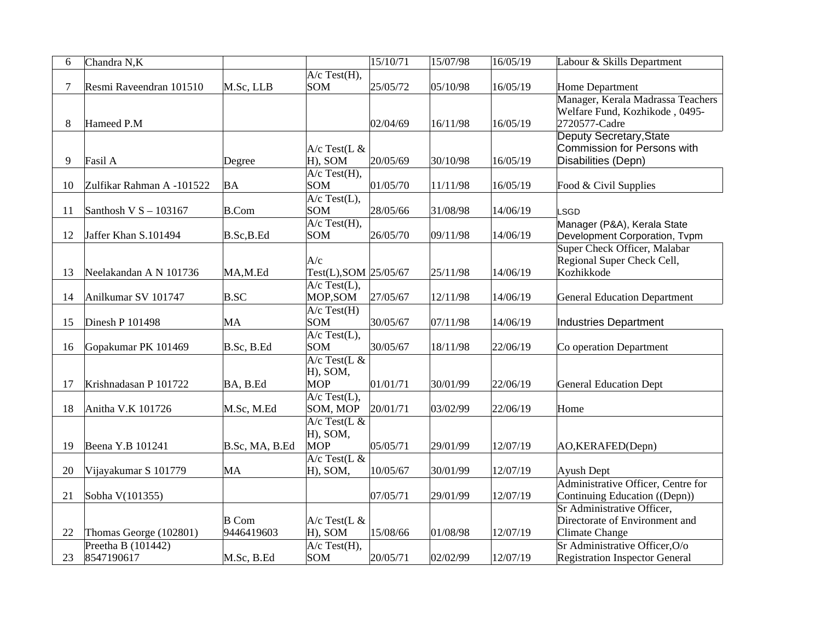| 6  | Chandra N,K               |                |                              | 15/10/71 | 15/07/98 | 16/05/19 | Labour & Skills Department                                   |
|----|---------------------------|----------------|------------------------------|----------|----------|----------|--------------------------------------------------------------|
|    |                           |                | $A/c$ Test(H),               |          |          |          |                                                              |
| 7  | Resmi Raveendran 101510   | M.Sc, LLB      | <b>SOM</b>                   | 25/05/72 | 05/10/98 | 16/05/19 | Home Department                                              |
|    |                           |                |                              |          |          |          | Manager, Kerala Madrassa Teachers                            |
|    |                           |                |                              |          |          |          | Welfare Fund, Kozhikode, 0495-                               |
| 8  | Hameed P.M                |                |                              | 02/04/69 | 16/11/98 | 16/05/19 | 2720577-Cadre                                                |
|    |                           |                |                              |          |          |          | Deputy Secretary, State                                      |
|    |                           |                | $A/c$ Test(L &               |          |          |          | <b>Commission for Persons with</b>                           |
| 9  | Fasil A                   | Degree         | H), SOM                      | 20/05/69 | 30/10/98 | 16/05/19 | Disabilities (Depn)                                          |
|    |                           |                | $A/c$ Test $(H)$ ,           |          |          |          |                                                              |
| 10 | Zulfikar Rahman A -101522 | BA             | <b>SOM</b>                   | 01/05/70 | 11/11/98 | 16/05/19 | Food & Civil Supplies                                        |
| 11 | Santhosh V $S - 103167$   | B.Com          | $A/c$ Test(L),<br><b>SOM</b> | 28/05/66 | 31/08/98 | 14/06/19 |                                                              |
|    |                           |                | $A/c$ Test(H),               |          |          |          | LSGD                                                         |
| 12 | Jaffer Khan S.101494      | B.Sc,B.Ed      | <b>SOM</b>                   | 26/05/70 | 09/11/98 | 14/06/19 | Manager (P&A), Kerala State<br>Development Corporation, Tvpm |
|    |                           |                |                              |          |          |          | Super Check Officer, Malabar                                 |
|    |                           |                | A/c                          |          |          |          | Regional Super Check Cell,                                   |
| 13 | Neelakandan A N 101736    | MA,M.Ed        | Test(L), SOM 25/05/67        |          | 25/11/98 | 14/06/19 | Kozhikkode                                                   |
|    |                           |                | $A/c$ Test(L),               |          |          |          |                                                              |
| 14 | Anilkumar SV 101747       | $B.$ sc        | MOP, SOM                     | 27/05/67 | 12/11/98 | 14/06/19 | <b>General Education Department</b>                          |
|    |                           |                | $A/c$ Test $(H)$             |          |          |          |                                                              |
| 15 | Dinesh P 101498           | МA             | SOM                          | 30/05/67 | 07/11/98 | 14/06/19 | <b>Industries Department</b>                                 |
|    |                           |                | $A/c$ Test(L),               |          |          |          |                                                              |
| 16 | Gopakumar PK 101469       | B.Sc, B.Ed     | <b>SOM</b>                   | 30/05/67 | 18/11/98 | 22/06/19 | Co operation Department                                      |
|    |                           |                | $A/c$ Test(L &               |          |          |          |                                                              |
|    |                           |                | H), SOM,                     |          |          |          |                                                              |
| 17 | Krishnadasan P 101722     | BA, B.Ed       | MOP                          | 01/01/71 | 30/01/99 | 22/06/19 | <b>General Education Dept</b>                                |
|    |                           |                | $A/c$ Test(L),               |          |          |          |                                                              |
| 18 | Anitha V.K 101726         | M.Sc, M.Ed     | SOM, MOP                     | 20/01/71 | 03/02/99 | 22/06/19 | Home                                                         |
|    |                           |                | $A/c$ Test(L &               |          |          |          |                                                              |
|    |                           |                | H), SOM,                     |          |          |          |                                                              |
| 19 | Beena Y.B 101241          | B.Sc, MA, B.Ed | <b>MOP</b>                   | 05/05/71 | 29/01/99 | 12/07/19 | AO,KERAFED(Depn)                                             |
|    |                           |                | $A/c$ Test(L &               |          |          |          |                                                              |
| 20 | Vijayakumar S 101779      | MA             | H), SOM,                     | 10/05/67 | 30/01/99 | 12/07/19 | <b>Ayush Dept</b>                                            |
|    |                           |                |                              |          |          |          | Administrative Officer, Centre for                           |
| 21 | Sobha V(101355)           |                |                              | 07/05/71 | 29/01/99 | 12/07/19 | Continuing Education ((Depn))                                |
|    |                           |                |                              |          |          |          | Sr Administrative Officer,                                   |
|    |                           | <b>B</b> Com   | $A/c$ Test(L &               |          |          |          | Directorate of Environment and                               |
| 22 | Thomas George (102801)    | 9446419603     | H), SOM                      | 15/08/66 | 01/08/98 | 12/07/19 | Climate Change                                               |
|    | Preetha B (101442)        |                | $A/c$ Test $(H)$ ,           |          |          |          | Sr Administrative Officer, O/o                               |
| 23 | 8547190617                | M.Sc, B.Ed     | SOM                          | 20/05/71 | 02/02/99 | 12/07/19 | <b>Registration Inspector General</b>                        |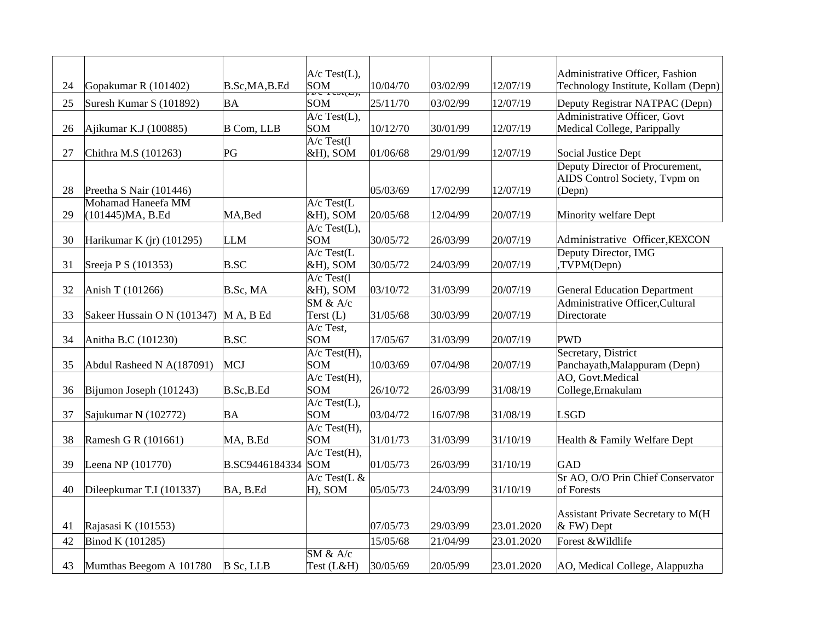| 24 | Gopakumar R (101402)        | B.Sc,MA,B.Ed   | $A/c$ Test(L),<br><b>SOM</b>              | 10/04/70 | 03/02/99 | 12/07/19   | Administrative Officer, Fashion<br>Technology Institute, Kollam (Depn) |
|----|-----------------------------|----------------|-------------------------------------------|----------|----------|------------|------------------------------------------------------------------------|
| 25 | Suresh Kumar S (101892)     | BA             | $x \in I \in S(\mathbb{Z})$<br><b>SOM</b> | 25/11/70 | 03/02/99 | 12/07/19   | Deputy Registrar NATPAC (Depn)                                         |
|    |                             |                | $A/c$ Test(L),                            |          |          |            | Administrative Officer, Govt                                           |
| 26 | Ajikumar K.J (100885)       | B Com, LLB     | <b>SOM</b><br>$\overline{A/c}$ Test(1     | 10/12/70 | 30/01/99 | 12/07/19   | Medical College, Parippally                                            |
| 27 | Chithra M.S (101263)        | PG             | $&H$ ), SOM                               | 01/06/68 | 29/01/99 | 12/07/19   | Social Justice Dept                                                    |
|    |                             |                |                                           |          |          |            | Deputy Director of Procurement,<br>AIDS Control Society, Tvpm on       |
| 28 | Preetha S Nair (101446)     |                |                                           | 05/03/69 | 17/02/99 | 12/07/19   | (Depn)                                                                 |
|    | Mohamad Haneefa MM          |                | $A/c$ Test(L                              |          |          |            |                                                                        |
| 29 | (101445) MA, B.Ed           | MA, Bed        | $&H$ ), SOM                               | 20/05/68 | 12/04/99 | 20/07/19   | <b>Minority welfare Dept</b>                                           |
| 30 | Harikumar K (jr) (101295)   | <b>LLM</b>     | $A/c$ Test $(L)$ ,<br><b>SOM</b>          | 30/05/72 | 26/03/99 | 20/07/19   | Administrative Officer, KEXCON                                         |
|    |                             |                | $A/c$ Test(L                              |          |          |            | Deputy Director, IMG                                                   |
| 31 | Sreeja P S (101353)         | B.SC           | $&H$ ), SOM                               | 30/05/72 | 24/03/99 | 20/07/19   | ,TVPM(Depn)                                                            |
| 32 | Anish T (101266)            | B.Sc, MA       | $A/c$ Test(1<br>$&H$ ), SOM               | 03/10/72 | 31/03/99 | 20/07/19   | <b>General Education Department</b>                                    |
|    |                             |                | $\overline{\text{SM } 8a \text{ A/c}}$    |          |          |            | Administrative Officer, Cultural                                       |
| 33 | Sakeer Hussain O N (101347) | $M A$ , B Ed   | Terst (L)                                 | 31/05/68 | 30/03/99 | 20/07/19   | Directorate                                                            |
|    |                             |                | $\overline{A/c}$ Test,                    |          |          |            |                                                                        |
| 34 | Anitha B.C (101230)         | <b>B.SC</b>    | <b>SOM</b><br>$A/c$ Test(H),              | 17/05/67 | 31/03/99 | 20/07/19   | <b>PWD</b><br>Secretary, District                                      |
| 35 | Abdul Rasheed N A(187091)   | <b>MCJ</b>     | <b>SOM</b>                                | 10/03/69 | 07/04/98 | 20/07/19   | Panchayath, Malappuram (Depn)                                          |
|    |                             |                | $A/c$ Test(H),                            |          |          |            | AO, Govt.Medical                                                       |
| 36 | Bijumon Joseph (101243)     | B.Sc,B.Ed      | <b>SOM</b>                                | 26/10/72 | 26/03/99 | 31/08/19   | College, Ernakulam                                                     |
|    |                             |                | $A/c$ Test(L),<br><b>SOM</b>              |          |          |            |                                                                        |
| 37 | Sajukumar N (102772)        | BA             | $A/c$ Test(H),                            | 03/04/72 | 16/07/98 | 31/08/19   | <b>LSGD</b>                                                            |
| 38 | Ramesh G R (101661)         | MA, B.Ed       | <b>SOM</b>                                | 31/01/73 | 31/03/99 | 31/10/19   | Health & Family Welfare Dept                                           |
|    |                             |                | $A/c$ Test(H),                            |          |          |            |                                                                        |
| 39 | Leena NP (101770)           | B.SC9446184334 | <b>SOM</b>                                | 01/05/73 | 26/03/99 | 31/10/19   | GAD<br>Sr AO, O/O Prin Chief Conservator                               |
| 40 | Dileepkumar T.I (101337)    | BA, B.Ed       | $A/c$ Test(L &<br>H), SOM                 | 05/05/73 | 24/03/99 | 31/10/19   | of Forests                                                             |
|    |                             |                |                                           |          |          |            |                                                                        |
| 41 | Rajasasi K (101553)         |                |                                           | 07/05/73 | 29/03/99 | 23.01.2020 | Assistant Private Secretary to M(H<br>& FW) Dept                       |
| 42 | Binod K (101285)            |                |                                           | 15/05/68 | 21/04/99 | 23.01.2020 | Forest & Wildlife                                                      |
|    |                             |                | $SM$ & $A/c$                              |          |          |            |                                                                        |
| 43 | Mumthas Beegom A 101780     | $B$ Sc, LLB    | Test (L&H)                                | 30/05/69 | 20/05/99 | 23.01.2020 | AO, Medical College, Alappuzha                                         |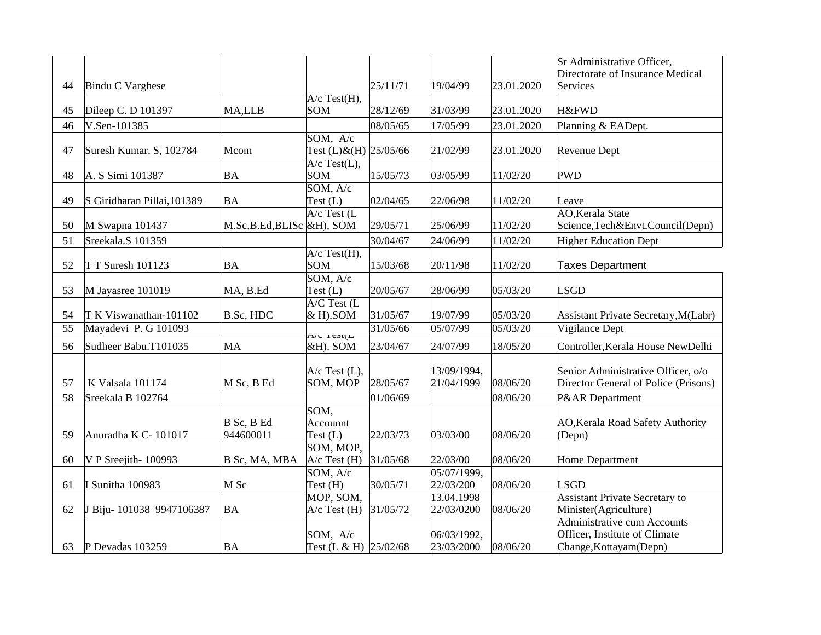|    |                             |                           |                           |          |             |            | Sr Administrative Officer,                  |
|----|-----------------------------|---------------------------|---------------------------|----------|-------------|------------|---------------------------------------------|
|    |                             |                           |                           |          |             |            | Directorate of Insurance Medical            |
| 44 | Bindu C Varghese            |                           |                           | 25/11/71 | 19/04/99    | 23.01.2020 | Services                                    |
|    |                             |                           | $A/c$ Test(H),            |          |             |            |                                             |
| 45 | Dileep C. D 101397          | MA,LLB                    | <b>SOM</b>                | 28/12/69 | 31/03/99    | 23.01.2020 | H&FWD                                       |
| 46 | V.Sen-101385                |                           |                           | 08/05/65 | 17/05/99    | 23.01.2020 | Planning & EADept.                          |
|    |                             |                           | SOM, A/c                  |          |             |            |                                             |
| 47 | Suresh Kumar. S, 102784     | Mcom                      | Test (L)&(H) 25/05/66     |          | 21/02/99    | 23.01.2020 | <b>Revenue Dept</b>                         |
|    |                             |                           | $A/c$ Test $(L)$ ,<br>SOM |          |             |            |                                             |
| 48 | A. S Simi 101387            | ΒA                        | SOM, A/c                  | 15/05/73 | 03/05/99    | 11/02/20   | <b>PWD</b>                                  |
| 49 | S Giridharan Pillai, 101389 | BA                        | Test $(L)$                | 02/04/65 | 22/06/98    | 11/02/20   | Leave                                       |
|    |                             |                           | $A/c$ Test (L             |          |             |            | <b>AO, Kerala State</b>                     |
| 50 | M Swapna 101437             | M.Sc,B.Ed,BLISc &H), SOM  |                           | 29/05/71 | 25/06/99    | 11/02/20   | Science, Tech&Envt.Council(Depn)            |
| 51 | Sreekala.S 101359           |                           |                           | 30/04/67 | 24/06/99    | 11/02/20   | <b>Higher Education Dept</b>                |
|    |                             |                           | A/c Test(H),              |          |             |            |                                             |
| 52 | T T Suresh 101123           | BA                        | SOM                       | 15/03/68 | 20/11/98    | 11/02/20   | <b>Taxes Department</b>                     |
|    |                             |                           | SOM, A/c                  |          |             |            |                                             |
| 53 | M Jayasree 101019           | MA, B.Ed                  | Test $(L)$                | 20/05/67 | 28/06/99    | 05/03/20   | <b>LSGD</b>                                 |
|    |                             |                           | $A/C$ Test (L             |          |             |            |                                             |
| 54 | T K Viswanathan-101102      | B.Sc, HDC                 | & H), SOM                 | 31/05/67 | 19/07/99    | 05/03/20   | <b>Assistant Private Secretary, M(Labr)</b> |
| 55 | Mayadevi P. G 101093        |                           | <del>ne resum</del>       | 31/05/66 | 05/07/99    | 05/03/20   | <b>Vigilance Dept</b>                       |
| 56 | Sudheer Babu.T101035        | MA                        | $\&H$ ), SOM              | 23/04/67 | 24/07/99    | 18/05/20   | Controller, Kerala House NewDelhi           |
|    |                             |                           |                           |          |             |            |                                             |
|    |                             |                           | $A/c$ Test $(L)$ ,        |          | 13/09/1994, |            | Senior Administrative Officer, o/o          |
| 57 | K Valsala 101174            | M Sc, B Ed                | SOM, MOP                  | 28/05/67 | 21/04/1999  | 08/06/20   | Director General of Police (Prisons)        |
| 58 | Sreekala B 102764           |                           |                           | 01/06/69 |             | 08/06/20   | P&AR Department                             |
|    |                             |                           | SOM,                      |          |             |            |                                             |
|    | Anuradha K C-101017         | $B$ Sc, B Ed<br>944600011 | Accounnt                  | 22/03/73 | 03/03/00    | 08/06/20   | AO, Kerala Road Safety Authority            |
| 59 |                             |                           | Test $(L)$<br>SOM, MOP,   |          |             |            | (Depn)                                      |
| 60 | V P Sreejith- 100993        | B Sc, MA, MBA             | $A/c$ Test (H)            | 31/05/68 | 22/03/00    | 08/06/20   | <b>Home Department</b>                      |
|    |                             |                           | SOM, A/c                  |          | 05/07/1999, |            |                                             |
| 61 | I Sunitha 100983            | $M$ Sc                    | Test $(H)$                | 30/05/71 | 22/03/200   | 08/06/20   | <b>LSGD</b>                                 |
|    |                             |                           | MOP, SOM,                 |          | 13.04.1998  |            | <b>Assistant Private Secretary to</b>       |
| 62 | J Biju-101038 9947106387    | BA                        | $A/c$ Test $(H)$          | 31/05/72 | 22/03/0200  | 08/06/20   | Minister(Agriculture)                       |
|    |                             |                           |                           |          |             |            | <b>Administrative cum Accounts</b>          |
|    |                             |                           | SOM, A/c                  |          | 06/03/1992, |            | Officer, Institute of Climate               |
| 63 | P Devadas 103259            | ΒA                        | Test (L & H) 25/02/68     |          | 23/03/2000  | 08/06/20   | Change, Kottayam (Depn)                     |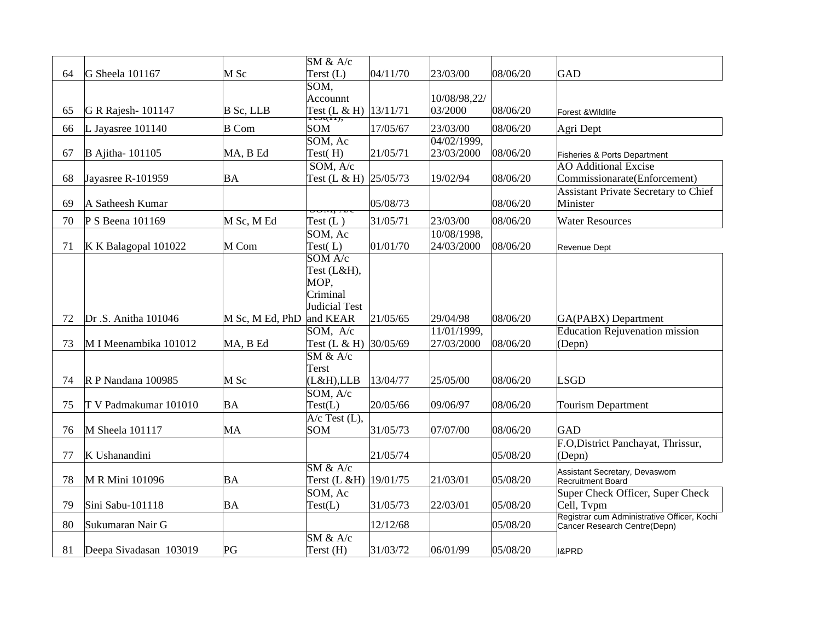|    |                        |                 | SM & A/c                              |          |              |          |                                                                             |
|----|------------------------|-----------------|---------------------------------------|----------|--------------|----------|-----------------------------------------------------------------------------|
| 64 | G Sheela 101167        | $M$ Sc          | Terst (L)                             | 04/11/70 | 23/03/00     | 08/06/20 | GAD                                                                         |
|    |                        |                 | $S\overline{OM,}$<br>Accounnt         |          | 10/08/98,22/ |          |                                                                             |
| 65 | G R Rajesh- 101147     | $B$ Sc, LLB     |                                       |          | 03/2000      | 08/06/20 | Forest & Wildlife                                                           |
| 66 | L Jayasree 101140      | <b>B</b> Com    | Test (L & H) $13/11/71$<br><b>SOM</b> | 17/05/67 | 23/03/00     | 08/06/20 | Agri Dept                                                                   |
|    |                        |                 | SOM, Ac                               |          | 04/02/1999,  |          |                                                                             |
| 67 | <b>B</b> Ajitha-101105 | MA, B Ed        | Test(H)                               | 21/05/71 | 23/03/2000   | 08/06/20 | Fisheries & Ports Department                                                |
|    |                        |                 | $\overline{SOM}$ , $\overline{A}/c$   |          |              |          | <b>AO Additional Excise</b>                                                 |
| 68 | Jayasree R-101959      | BA              | Test (L & H) 25/05/73                 |          | 19/02/94     | 08/06/20 | Commissionarate(Enforcement)                                                |
|    |                        |                 |                                       |          |              |          | Assistant Private Secretary to Chief                                        |
| 69 | A Satheesh Kumar       |                 | <b>JUINI, I VE</b>                    | 05/08/73 |              | 08/06/20 | Minister                                                                    |
| 70 | P S Beena 101169       | M Sc, M Ed      | Test $(L)$                            | 31/05/71 | 23/03/00     | 08/06/20 | <b>Water Resources</b>                                                      |
|    |                        |                 | SOM, Ac                               |          | 10/08/1998,  |          |                                                                             |
| 71 | $K K$ Balagopal 101022 | M Com           | Test(L)                               | 01/01/70 | 24/03/2000   | 08/06/20 | Revenue Dept                                                                |
|    |                        |                 | SOM A/c                               |          |              |          |                                                                             |
|    |                        |                 | Test (L&H),                           |          |              |          |                                                                             |
|    |                        |                 | MOP,                                  |          |              |          |                                                                             |
|    |                        |                 | Criminal                              |          |              |          |                                                                             |
|    |                        |                 | Judicial Test                         |          |              |          |                                                                             |
| 72 | Dr.S. Anitha 101046    | M Sc, M Ed, PhD | and KEAR                              | 21/05/65 | 29/04/98     | 08/06/20 | <b>GA(PABX)</b> Department                                                  |
|    |                        |                 | SOM, A/c                              |          | 11/01/1999,  |          | <b>Education Rejuvenation mission</b>                                       |
| 73 | M I Meenambika 101012  | MA, B Ed        | Test $(L & H)$                        | 30/05/69 | 27/03/2000   | 08/06/20 | (Depn)                                                                      |
|    |                        |                 | $SM$ & $A/c$                          |          |              |          |                                                                             |
| 74 | R P Nandana 100985     | $M$ Sc          | Terst<br>(L&H),LLB                    | 13/04/77 | 25/05/00     | 08/06/20 | <b>LSGD</b>                                                                 |
|    |                        |                 | SOM, A/c                              |          |              |          |                                                                             |
| 75 | T V Padmakumar 101010  | BA              | Test(L)                               | 20/05/66 | 09/06/97     | 08/06/20 | <b>Tourism Department</b>                                                   |
|    |                        |                 | $A/c$ Test (L),                       |          |              |          |                                                                             |
| 76 | M Sheela 101117        | MA              | <b>SOM</b>                            | 31/05/73 | 07/07/00     | 08/06/20 | GAD                                                                         |
|    |                        |                 |                                       |          |              |          | F.O, District Panchayat, Thrissur,                                          |
| 77 | K Ushanandini          |                 |                                       | 21/05/74 |              | 05/08/20 | (Depn)                                                                      |
|    |                        |                 | $SM$ & $A/c$                          |          |              |          | Assistant Secretary, Devaswom                                               |
| 78 | M R Mini 101096        | ΒA              | Terst (L &H)   19/01/75               |          | 21/03/01     | 05/08/20 | Recruitment Board                                                           |
|    |                        |                 | SOM, Ac                               |          |              |          | Super Check Officer, Super Check                                            |
| 79 | Sini Sabu-101118       | ΒA              | Test(L)                               | 31/05/73 | 22/03/01     | 05/08/20 | Cell, Tvpm                                                                  |
|    |                        |                 |                                       |          |              |          |                                                                             |
| 80 | Sukumaran Nair G       |                 |                                       | 12/12/68 |              | 05/08/20 | Registrar cum Administrative Officer, Kochi<br>Cancer Research Centre(Depn) |
|    |                        | PG              | $SM$ & $A/c$<br>Terst (H)             | 31/03/72 | 06/01/99     | 05/08/20 |                                                                             |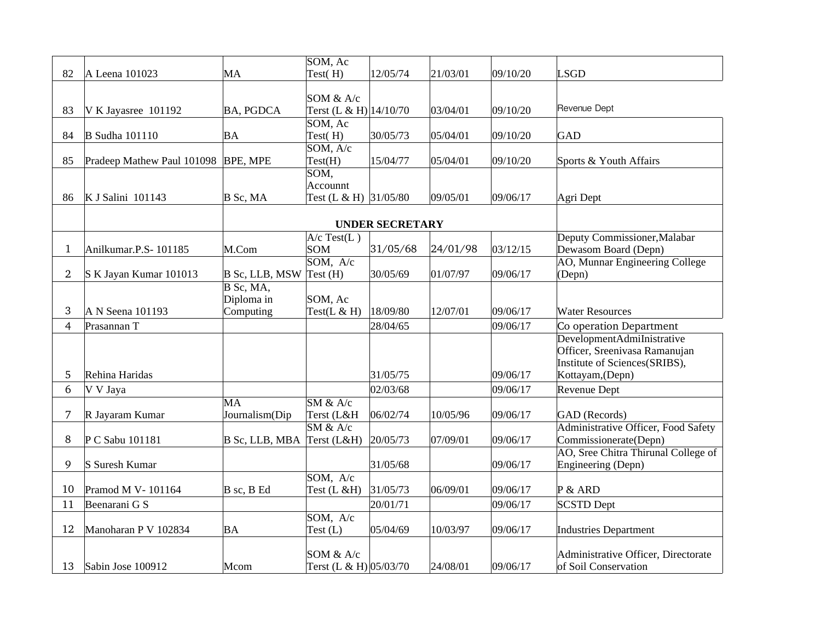|                |                                     |                  | SOM, Ac                  |                        |          |          |                                                                |
|----------------|-------------------------------------|------------------|--------------------------|------------------------|----------|----------|----------------------------------------------------------------|
| 82             | A Leena 101023                      | MA               | Test(H)                  | 12/05/74               | 21/03/01 | 09/10/20 | <b>LSGD</b>                                                    |
|                |                                     |                  |                          |                        |          |          |                                                                |
|                |                                     |                  | SOM & A/c                |                        |          |          |                                                                |
| 83             | V K Jayasree 101192                 | <b>BA, PGDCA</b> | Terst (L & H) $14/10/70$ |                        | 03/04/01 | 09/10/20 | Revenue Dept                                                   |
|                |                                     |                  | SOM, Ac                  |                        |          |          |                                                                |
| 84             | <b>B</b> Sudha 101110               | ΒA               | Test(H)                  | 30/05/73               | 05/04/01 | 09/10/20 | <b>GAD</b>                                                     |
|                |                                     |                  | SOM, A/c                 |                        |          |          |                                                                |
| 85             | Pradeep Mathew Paul 101098 BPE, MPE |                  | Test(H)                  | 15/04/77               | 05/04/01 | 09/10/20 | Sports & Youth Affairs                                         |
|                |                                     |                  | SOM,<br>Accounnt         |                        |          |          |                                                                |
| 86             | K J Salini 101143                   | $B$ Sc, MA       | Test (L & H) 31/05/80    |                        | 09/05/01 | 09/06/17 | Agri Dept                                                      |
|                |                                     |                  |                          |                        |          |          |                                                                |
|                |                                     |                  |                          | <b>UNDER SECRETARY</b> |          |          |                                                                |
|                |                                     |                  | $A/c$ Test(L)            |                        |          |          | Deputy Commissioner, Malabar                                   |
| $\mathbf 1$    | Anilkumar.P.S-101185                | M.Com            | SOM                      | 31/05/68               | 24/01/98 | 03/12/15 | Dewasom Board (Depn)                                           |
|                |                                     |                  | SOM, A/c                 |                        |          |          | AO, Munnar Engineering College                                 |
| $\overline{2}$ | S K Jayan Kumar 101013              | B Sc, LLB, MSW   | $Test$ (H)               | 30/05/69               | 01/07/97 | 09/06/17 | (Depn)                                                         |
|                |                                     | B Sc, MA,        |                          |                        |          |          |                                                                |
|                |                                     | Diploma in       | SOM, Ac                  |                        |          |          |                                                                |
| 3              | A N Seena 101193                    | Computing        | Test $(L & H)$           | 18/09/80               | 12/07/01 | 09/06/17 | <b>Water Resources</b>                                         |
| $\overline{4}$ | Prasannan T                         |                  |                          | 28/04/65               |          | 09/06/17 | Co operation Department                                        |
|                |                                     |                  |                          |                        |          |          | DevelopmentAdmiInistrative                                     |
|                |                                     |                  |                          |                        |          |          | Officer, Sreenivasa Ramanujan<br>Institute of Sciences(SRIBS), |
| 5              | Rehina Haridas                      |                  |                          | 31/05/75               |          | 09/06/17 | Kottayam, (Depn)                                               |
| 6              |                                     |                  |                          |                        |          |          |                                                                |
|                | V V Jaya                            | MA               | $SM$ & $A/c$             | 02/03/68               |          | 09/06/17 | Revenue Dept                                                   |
| 7              | R Jayaram Kumar                     | Journalism(Dip   | Terst (L&H               | 06/02/74               | 10/05/96 | 09/06/17 | GAD (Records)                                                  |
|                |                                     |                  | SM & A/c                 |                        |          |          | Administrative Officer, Food Safety                            |
| 8              | P C Sabu 101181                     | B Sc, LLB, MBA   | Terst $(L&H)$            | 20/05/73               | 07/09/01 | 09/06/17 | Commissionerate(Depn)                                          |
|                |                                     |                  |                          |                        |          |          | AO, Sree Chitra Thirunal College of                            |
| 9              | S Suresh Kumar                      |                  |                          | 31/05/68               |          | 09/06/17 | Engineering (Depn)                                             |
|                |                                     |                  | SOM, A/c                 |                        |          |          |                                                                |
| 10             | Pramod M V-101164                   | B sc, B Ed       | Test $(L & H)$           | 31/05/73               | 06/09/01 | 09/06/17 | P & ARD                                                        |
| 11             | Beenarani G S                       |                  |                          | 20/01/71               |          | 09/06/17 | <b>SCSTD Dept</b>                                              |
|                |                                     |                  | SOM, A/c                 |                        |          |          |                                                                |
| 12             | Manoharan P V 102834                | ΒA               | Test $(L)$               | 05/04/69               | 10/03/97 | 09/06/17 | <b>Industries Department</b>                                   |
|                |                                     |                  |                          |                        |          |          |                                                                |
|                |                                     |                  | SOM & A/c                |                        |          |          | Administrative Officer, Directorate                            |
| 13             | Sabin Jose 100912                   | Mcom             | Terst (L & H) 05/03/70   |                        | 24/08/01 | 09/06/17 | of Soil Conservation                                           |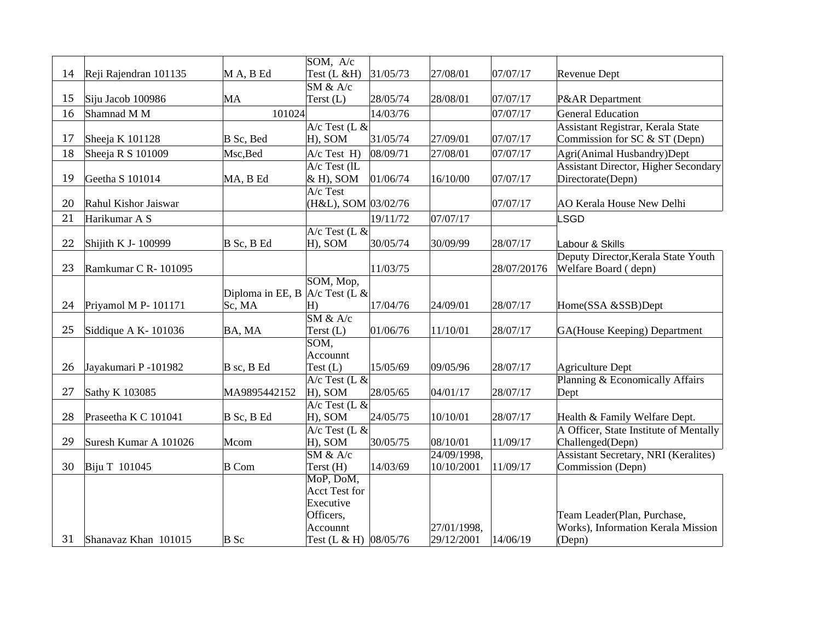|    |                       |                                  | SOM, A/c               |          |             |             |                                             |
|----|-----------------------|----------------------------------|------------------------|----------|-------------|-------------|---------------------------------------------|
| 14 | Reji Rajendran 101135 | MA, BEd                          | Test (L &H)            | 31/05/73 | 27/08/01    | 07/07/17    | Revenue Dept                                |
|    |                       |                                  | SM & A/c               |          |             |             |                                             |
| 15 | Siju Jacob 100986     | MA                               | Terst (L)              | 28/05/74 | 28/08/01    | 07/07/17    | P&AR Department                             |
| 16 | Shamnad M M           | 101024                           |                        | 14/03/76 |             | 07/07/17    | <b>General Education</b>                    |
|    |                       |                                  | $A/c$ Test (L &        |          |             |             | Assistant Registrar, Kerala State           |
| 17 | Sheeja K 101128       | B Sc, Bed                        | H), SOM                | 31/05/74 | 27/09/01    | 07/07/17    | Commission for SC & ST (Depn)               |
| 18 | Sheeja R S 101009     | Msc, Bed                         | $A/c$ Test $H$ )       | 08/09/71 | 27/08/01    | 07/07/17    | Agri(Animal Husbandry)Dept                  |
|    |                       |                                  | $A/c$ Test (lL         |          |             |             | <b>Assistant Director, Higher Secondary</b> |
| 19 | Geetha S 101014       | MA, B Ed                         | $\&$ H), SOM           | 01/06/74 | 16/10/00    | 07/07/17    | Directorate(Depn)                           |
|    |                       |                                  | A/c Test               |          |             |             |                                             |
| 20 | Rahul Kishor Jaiswar  |                                  | (H&L), SOM 03/02/76    |          |             | 07/07/17    | AO Kerala House New Delhi                   |
| 21 | Harikumar A S         |                                  |                        | 19/11/72 | 07/07/17    |             | <b>LSGD</b>                                 |
|    |                       |                                  | $A/c$ Test (L &        |          |             |             |                                             |
| 22 | Shijith K J- 100999   | B Sc, B Ed                       | H), SOM                | 30/05/74 | 30/09/99    | 28/07/17    | Labour & Skills                             |
|    |                       |                                  |                        |          |             |             | Deputy Director, Kerala State Youth         |
| 23 | Ramkumar C R-101095   |                                  |                        | 11/03/75 |             | 28/07/20176 | Welfare Board (depn)                        |
|    |                       |                                  | SOM, Mop,              |          |             |             |                                             |
|    |                       | Diploma in EE, B $A/c$ Test (L & |                        |          |             |             |                                             |
| 24 | Priyamol M P- 101171  | Sc, MA                           | H)<br>SM & A/c         | 17/04/76 | 24/09/01    | 28/07/17    | Home(SSA &SSB)Dept                          |
| 25 | Siddique A K-101036   | BA, MA                           | Terst $(L)$            | 01/06/76 | 11/10/01    | 28/07/17    | GA(House Keeping) Department                |
|    |                       |                                  | SOM,                   |          |             |             |                                             |
|    |                       |                                  | Accounnt               |          |             |             |                                             |
| 26 | Jayakumari P -101982  | B sc, B Ed                       | Test (L)               | 15/05/69 | 09/05/96    | 28/07/17    | Agriculture Dept                            |
|    |                       |                                  | $A/c$ Test (L &        |          |             |             | Planning & Economically Affairs             |
| 27 | Sathy K 103085        | MA9895442152                     | $ H$ ), SOM            | 28/05/65 | 04/01/17    | 28/07/17    | Dept                                        |
|    |                       |                                  | $A/c$ Test (L &        |          |             |             |                                             |
| 28 | Praseetha K C 101041  | B Sc, B Ed                       | H), SOM                | 24/05/75 | 10/10/01    | 28/07/17    | Health & Family Welfare Dept.               |
|    |                       |                                  | $A/c$ Test (L &        |          |             |             | A Officer, State Institute of Mentally      |
| 29 | Suresh Kumar A 101026 | Mcom                             | H), SOM                | 30/05/75 | 08/10/01    | 11/09/17    | Challenged(Depn)                            |
|    |                       |                                  | $SM$ & $A/c$           |          | 24/09/1998, |             | <b>Assistant Secretary, NRI (Keralites)</b> |
| 30 | Biju T 101045         | <b>B</b> Com                     | Terst (H)              | 14/03/69 | 10/10/2001  | 11/09/17    | Commission (Depn)                           |
|    |                       |                                  | MoP, DoM,              |          |             |             |                                             |
|    |                       |                                  | <b>Acct Test for</b>   |          |             |             |                                             |
|    |                       |                                  | Executive              |          |             |             |                                             |
|    |                       |                                  | Officers,              |          |             |             | Team Leader(Plan, Purchase,                 |
|    |                       |                                  | Accounnt               |          | 27/01/1998, |             | Works), Information Kerala Mission          |
| 31 | Shanavaz Khan 101015  | B Sc                             | Test (L & H)  08/05/76 |          | 29/12/2001  | 14/06/19    | (Depn)                                      |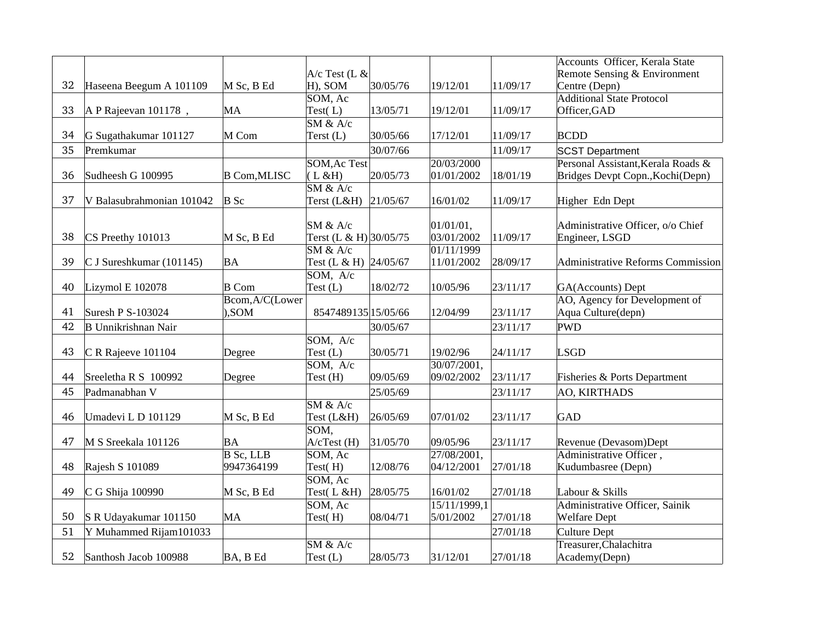|    |                              |                     |                                        |          |              |          | Accounts Officer, Kerala State     |
|----|------------------------------|---------------------|----------------------------------------|----------|--------------|----------|------------------------------------|
|    |                              |                     | $A/c$ Test (L &                        |          |              |          | Remote Sensing & Environment       |
| 32 | Haseena Beegum A 101109      | M Sc, B Ed          | H), SOM                                | 30/05/76 | 19/12/01     | 11/09/17 | Centre (Depn)                      |
|    |                              |                     | SOM, Ac                                |          |              |          | <b>Additional State Protocol</b>   |
| 33 | $\vert$ A P Rajeevan 101178, | MA                  | Test(L)                                | 13/05/71 | 19/12/01     | 11/09/17 | Officer, GAD                       |
|    |                              |                     | $\overline{\text{SM } 8a \text{ A/c}}$ |          |              |          |                                    |
| 34 | G Sugathakumar 101127        | M Com               | Terst (L)                              | 30/05/66 | 17/12/01     | 11/09/17 | <b>BCDD</b>                        |
| 35 | Premkumar                    |                     |                                        | 30/07/66 |              | 11/09/17 | <b>SCST Department</b>             |
|    |                              |                     | <b>SOM, Ac Test</b>                    |          | 20/03/2000   |          | Personal Assistant, Kerala Roads & |
| 36 | Sudheesh G 100995            | <b>B</b> Com, MLISC | (L & H)                                | 20/05/73 | 01/01/2002   | 18/01/19 | Bridges Devpt Copn., Kochi(Depn)   |
|    |                              |                     | SM & A/c                               |          |              |          |                                    |
| 37 | V Balasubrahmonian 101042    | $B$ Sc              | Terst (L&H) 21/05/67                   |          | 16/01/02     | 11/09/17 | Higher Edn Dept                    |
|    |                              |                     |                                        |          |              |          |                                    |
|    |                              |                     | $SM$ & $A/c$                           |          | 01/01/01,    |          | Administrative Officer, o/o Chief  |
| 38 | CS Preethy 101013            | M Sc, B Ed          | Terst (L & H) 30/05/75                 |          | 03/01/2002   | 11/09/17 | Engineer, LSGD                     |
|    |                              |                     | $SM$ & $A/c$                           |          | 01/11/1999   |          |                                    |
| 39 | $C$ J Sureshkumar (101145)   | BA                  | Test (L & H) 24/05/67                  |          | 11/01/2002   | 28/09/17 | Administrative Reforms Commission  |
|    |                              |                     | SOM, A/c                               |          |              |          |                                    |
| 40 | Lizymol E 102078             | <b>B</b> Com        | Test (L)                               | 18/02/72 | 10/05/96     | 23/11/17 | GA(Accounts) Dept                  |
|    |                              | Bcom, A/C(Lower     |                                        |          |              |          | AO, Agency for Development of      |
| 41 | Suresh P S-103024            | , SOM               | 8547489135 15/05/66                    |          | 12/04/99     | 23/11/17 | Aqua Culture(depn)                 |
| 42 | <b>B</b> Unnikrishnan Nair   |                     |                                        | 30/05/67 |              | 23/11/17 | <b>PWD</b>                         |
|    |                              |                     | SOM, A/c                               |          |              |          |                                    |
| 43 | C R Rajeeve 101104           | Degree              | Test $(L)$                             | 30/05/71 | 19/02/96     | 24/11/17 | <b>LSGD</b>                        |
|    |                              |                     | SOM, A/c                               |          | 30/07/2001,  |          |                                    |
| 44 | Sreeletha R S 100992         | Degree              | Test (H)                               | 09/05/69 | 09/02/2002   | 23/11/17 | Fisheries & Ports Department       |
| 45 | Padmanabhan V                |                     |                                        | 25/05/69 |              | 23/11/17 | <b>AO, KIRTHADS</b>                |
|    |                              |                     | SM & A/c                               |          |              |          |                                    |
| 46 | Umadevi L D 101129           | M Sc, B Ed          | Test (L&H)                             | 26/05/69 | 07/01/02     | 23/11/17 | GAD                                |
|    |                              |                     | SOM,                                   |          |              |          |                                    |
| 47 | M S Sreekala 101126          | BA                  | $A$ / $C$ Test (H)                     | 31/05/70 | 09/05/96     | 23/11/17 | Revenue (Devasom)Dept              |
|    |                              | $B$ Sc, LLB         | SOM, Ac                                |          | 27/08/2001,  |          | Administrative Officer,            |
| 48 | Rajesh S 101089              | 9947364199          | Test(H)                                | 12/08/76 | 04/12/2001   | 27/01/18 | Kudumbasree (Depn)                 |
|    |                              |                     | SOM, Ac                                |          |              |          |                                    |
| 49 | C G Shija 100990             | M Sc, B Ed          | Test(L&H)                              | 28/05/75 | 16/01/02     | 27/01/18 | Labour & Skills                    |
|    |                              |                     | SOM, Ac                                |          | 15/11/1999,1 |          | Administrative Officer, Sainik     |
| 50 | S R Udayakumar 101150        | MA                  | Test(H)                                | 08/04/71 | 5/01/2002    | 27/01/18 | <b>Welfare Dept</b>                |
| 51 | Y Muhammed Rijam101033       |                     |                                        |          |              | 27/01/18 | <b>Culture Dept</b>                |
|    |                              |                     | SM & A/c                               |          |              |          | Treasurer, Chalachitra             |
| 52 | Santhosh Jacob 100988        | BA, B Ed            | Test (L)                               | 28/05/73 | 31/12/01     | 27/01/18 | Academy(Depn)                      |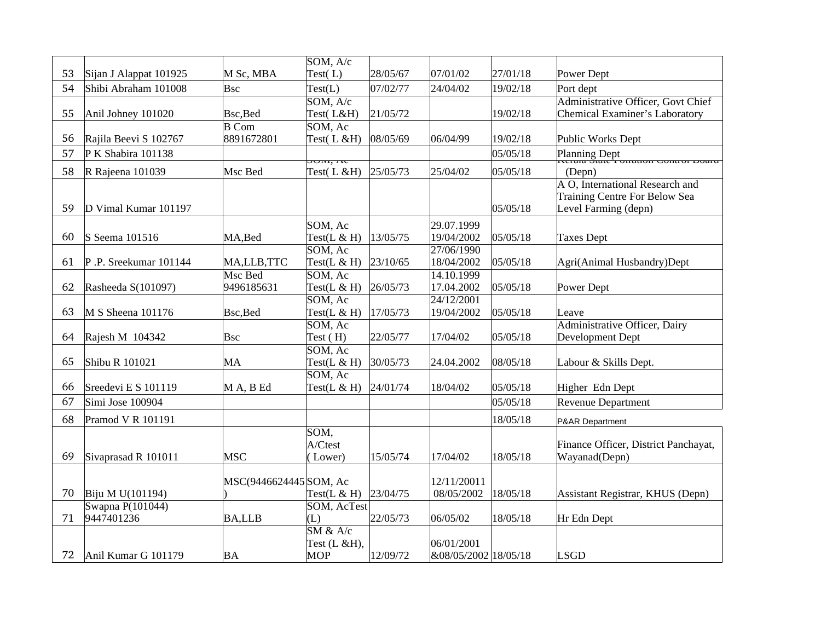|    |                                |                            | SOM, A/c                               |          |                      |          |                                                         |
|----|--------------------------------|----------------------------|----------------------------------------|----------|----------------------|----------|---------------------------------------------------------|
| 53 | Sijan J Alappat 101925         | M Sc, MBA                  | Test $(L)$                             | 28/05/67 | 07/01/02             | 27/01/18 | Power Dept                                              |
| 54 | Shibi Abraham 101008           | Bsc                        | Test(L)                                | 07/02/77 | 24/04/02             | 19/02/18 | Port dept                                               |
|    |                                |                            | SOM, A/c                               |          |                      |          | <b>Administrative Officer, Govt Chief</b>               |
| 55 | Anil Johney 101020             | Bsc, Bed                   | Test(L&H)                              | 21/05/72 |                      | 19/02/18 | Chemical Examiner's Laboratory                          |
|    |                                | $\overline{B \text{ Com}}$ | SOM, Ac                                |          |                      |          |                                                         |
| 56 | Rajila Beevi S 102767          | 8891672801                 | Test $(L & H)$                         | 08/05/69 | 06/04/99             | 19/02/18 | Public Works Dept                                       |
| 57 | P K Shabira 101138             |                            |                                        |          |                      | 05/05/18 | Planning Dept<br>INCLOUG STOLE I UITOLOUT CUITEUT DUCTU |
| 58 | R Rajeena 101039               | Msc Bed                    | JUM, AC<br>Test $(L & H)$              | 25/05/73 | 25/04/02             | 05/05/18 | (Depn)                                                  |
|    |                                |                            |                                        |          |                      |          | A O, International Research and                         |
|    |                                |                            |                                        |          |                      |          | Training Centre For Below Sea                           |
| 59 | D Vimal Kumar 101197           |                            |                                        |          |                      | 05/05/18 | Level Farming (depn)                                    |
|    |                                |                            | SOM, Ac                                |          | 29.07.1999           |          |                                                         |
| 60 | S Seema 101516                 | MA,Bed                     | Test $(L & H)$                         | 13/05/75 | 19/04/2002           | 05/05/18 | <b>Taxes Dept</b>                                       |
|    |                                |                            | SOM, Ac                                |          | 27/06/1990           |          |                                                         |
| 61 | P.P. Sreekumar 101144          | MA,LLB,TTC                 | Test $(L & H)$                         | 23/10/65 | 18/04/2002           | 05/05/18 | Agri(Animal Husbandry)Dept                              |
|    |                                | Msc Bed                    | SOM, Ac                                |          | 14.10.1999           |          |                                                         |
| 62 | Rasheeda S(101097)             | 9496185631                 | Test $(L & H)$                         | 26/05/73 | 17.04.2002           | 05/05/18 | Power Dept                                              |
|    |                                |                            | SOM, Ac                                |          | 24/12/2001           |          |                                                         |
| 63 | M S Sheena 101176              | Bsc, Bed                   | Test( $L$ & H)                         | 17/05/73 | 19/04/2002           | 05/05/18 | Leave                                                   |
|    |                                |                            | SOM, Ac                                |          |                      |          | Administrative Officer, Dairy                           |
| 64 | Rajesh M 104342                | Bsc                        | Test (H)                               | 22/05/77 | 17/04/02             | 05/05/18 | Development Dept                                        |
|    |                                |                            | SOM, Ac                                |          |                      |          |                                                         |
| 65 | Shibu R 101021                 | MA                         | Test( $L & H$ )                        | 30/05/73 | 24.04.2002           | 08/05/18 | Labour & Skills Dept.                                   |
| 66 | Sreedevi E S 101119            | M A, B Ed                  | SOM, Ac<br>Test $(L & H)$              | 24/01/74 | 18/04/02             | 05/05/18 | Higher Edn Dept                                         |
|    |                                |                            |                                        |          |                      |          |                                                         |
| 67 | Simi Jose 100904               |                            |                                        |          |                      | 05/05/18 | <b>Revenue Department</b>                               |
| 68 | Pramod V R 101191              |                            |                                        |          |                      | 18/05/18 | P&AR Department                                         |
|    |                                |                            | SOM,                                   |          |                      |          |                                                         |
|    |                                |                            | A/Ctest                                |          |                      |          | Finance Officer, District Panchayat,                    |
| 69 | Sivaprasad R 101011            | MSC                        | (Lower)                                | 15/05/74 | 17/04/02             | 18/05/18 | Wayanad(Depn)                                           |
|    |                                |                            |                                        |          |                      |          |                                                         |
|    |                                | MSC(9446624445 SOM, Ac     |                                        |          | 12/11/20011          |          |                                                         |
| 70 | Biju M U(101194)               |                            | Test( $L$ & H)                         | 23/04/75 | 08/05/2002           | 18/05/18 | Assistant Registrar, KHUS (Depn)                        |
| 71 | Swapna P(101044)<br>9447401236 | <b>BA,LLB</b>              | SOM, AcTest<br>(L)                     | 22/05/73 | 06/05/02             | 18/05/18 | Hr Edn Dept                                             |
|    |                                |                            | $\overline{\text{SM } 8a \text{ A/c}}$ |          |                      |          |                                                         |
|    |                                |                            | Test (L &H),                           |          | 06/01/2001           |          |                                                         |
| 72 | Anil Kumar G 101179            | BA                         | <b>MOP</b>                             | 12/09/72 | &08/05/2002 18/05/18 |          | <b>LSGD</b>                                             |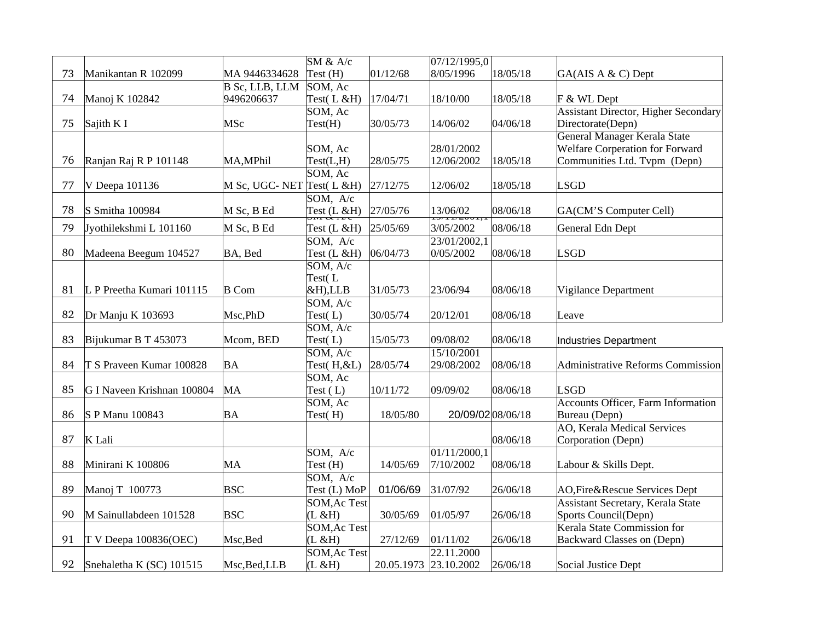|    |                            |                            | SM & A/c                |                       | 07/12/1995,0              |          |                                             |
|----|----------------------------|----------------------------|-------------------------|-----------------------|---------------------------|----------|---------------------------------------------|
| 73 | Manikantan R 102099        | MA 9446334628              | Test (H)                | 01/12/68              | 8/05/1996                 | 18/05/18 | GA(AIS A & C) Dept                          |
|    |                            | B Sc, LLB, LLM             | SOM, Ac                 |                       |                           |          |                                             |
| 74 | Manoj K 102842             | 9496206637                 | Test $(L & H)$          | 17/04/71              | 18/10/00                  | 18/05/18 | F & WL Dept                                 |
|    |                            |                            | SOM, Ac                 |                       |                           |          | <b>Assistant Director, Higher Secondary</b> |
| 75 | Sajith K I                 | MSc                        | Test(H)                 | 30/05/73              | 14/06/02                  | 04/06/18 | Directorate(Depn)                           |
|    |                            |                            |                         |                       |                           |          | <b>General Manager Kerala State</b>         |
|    |                            |                            | SOM, Ac                 |                       | 28/01/2002                |          | <b>Welfare Corperation for Forward</b>      |
| 76 | Ranjan Raj R P 101148      | MA, MPhil                  | Test(L,H)               | 28/05/75              | 12/06/2002                | 18/05/18 | Communities Ltd. Tvpm (Depn)                |
|    |                            |                            | SOM, Ac                 |                       |                           |          |                                             |
| 77 | V Deepa 101136             | M Sc, UGC- NET Test( L &H) |                         | 27/12/75              | 12/06/02                  | 18/05/18 | <b>LSGD</b>                                 |
|    |                            |                            | SOM, A/c                |                       |                           |          |                                             |
| 78 | S Smitha 100984            | M Sc, B Ed                 | Test $(L & H)$          | 27/05/76              | 13/06/02                  | 08/06/18 | <b>GA(CM'S Computer Cell)</b>               |
| 79 |                            | M Sc, B Ed                 |                         |                       |                           |          |                                             |
|    | Jyothilekshmi L 101160     |                            | Test (L &H)             | 25/05/69              | 3/05/2002                 | 08/06/18 | General Edn Dept                            |
| 80 |                            |                            | $SOM$ , A/c             | 06/04/73              | 23/01/2002,1<br>0/05/2002 |          | <b>LSGD</b>                                 |
|    | Madeena Beegum 104527      | BA, Bed                    | Test (L &H)<br>SOM, A/c |                       |                           | 08/06/18 |                                             |
|    |                            |                            |                         |                       |                           |          |                                             |
|    | L P Preetha Kumari 101115  | <b>B</b> Com               | Test(L<br>&H),LLB       | 31/05/73              | 23/06/94                  | 08/06/18 |                                             |
| 81 |                            |                            |                         |                       |                           |          | Vigilance Department                        |
| 82 |                            |                            | SOM, A/c                |                       |                           |          |                                             |
|    | Dr Manju K 103693          | Msc, PhD                   | Test $(L)$              | 30/05/74              | 20/12/01                  | 08/06/18 | Leave                                       |
| 83 |                            |                            | SOM, A/c                |                       |                           |          |                                             |
|    | Bijukumar B T 453073       | Mcom, BED                  | Test $(L)$              | 15/05/73              | 09/08/02                  | 08/06/18 | <b>Industries Department</b>                |
|    |                            |                            | SOM, A/c                |                       | 15/10/2001                |          |                                             |
| 84 | T S Praveen Kumar 100828   | ΒA                         | Test(H,&L)              | 28/05/74              | 29/08/2002                | 08/06/18 | <b>Administrative Reforms Commission</b>    |
|    |                            |                            | SOM, Ac                 |                       |                           |          |                                             |
| 85 | G I Naveen Krishnan 100804 | MA                         | Test $(L)$              | 10/11/72              | 09/09/02                  | 08/06/18 | <b>LSGD</b>                                 |
|    |                            |                            | SOM, Ac                 |                       |                           |          | Accounts Officer, Farm Information          |
| 86 | S P Manu 100843            | BA                         | Test(H)                 | 18/05/80              | 20/09/02 08/06/18         |          | Bureau (Depn)                               |
|    |                            |                            |                         |                       |                           |          | AO, Kerala Medical Services                 |
| 87 | K Lali                     |                            |                         |                       |                           | 08/06/18 | Corporation (Depn)                          |
|    |                            |                            | SOM, A/c                |                       | 01/11/2000,1              |          |                                             |
| 88 | Minirani K 100806          | MA                         | Test (H)                | 14/05/69              | 7/10/2002                 | 08/06/18 | Labour & Skills Dept.                       |
|    |                            |                            | SOM, A/c                |                       |                           |          |                                             |
| 89 | Manoj T 100773             | BSC                        | Test (L) MoP            | 01/06/69              | 31/07/92                  | 26/06/18 | AO, Fire&Rescue Services Dept               |
|    |                            |                            | <b>SOM, Ac Test</b>     |                       |                           |          | Assistant Secretary, Kerala State           |
| 90 | M Sainullabdeen 101528     | <b>BSC</b>                 | (L & H)                 | 30/05/69              | 01/05/97                  | 26/06/18 | Sports Council(Depn)                        |
|    |                            |                            | <b>SOM, Ac Test</b>     |                       |                           |          | Kerala State Commission for                 |
| 91 | T V Deepa 100836(OEC)      | Msc, Bed                   | (L & H)                 | 27/12/69              | 01/11/02                  | 26/06/18 | Backward Classes on (Depn)                  |
|    |                            |                            | <b>SOM, Ac Test</b>     |                       | 22.11.2000                |          |                                             |
| 92 | Snehaletha K (SC) 101515   | Msc,Bed,LLB                | (L & H)                 | 20.05.1973 23.10.2002 |                           | 26/06/18 | Social Justice Dept                         |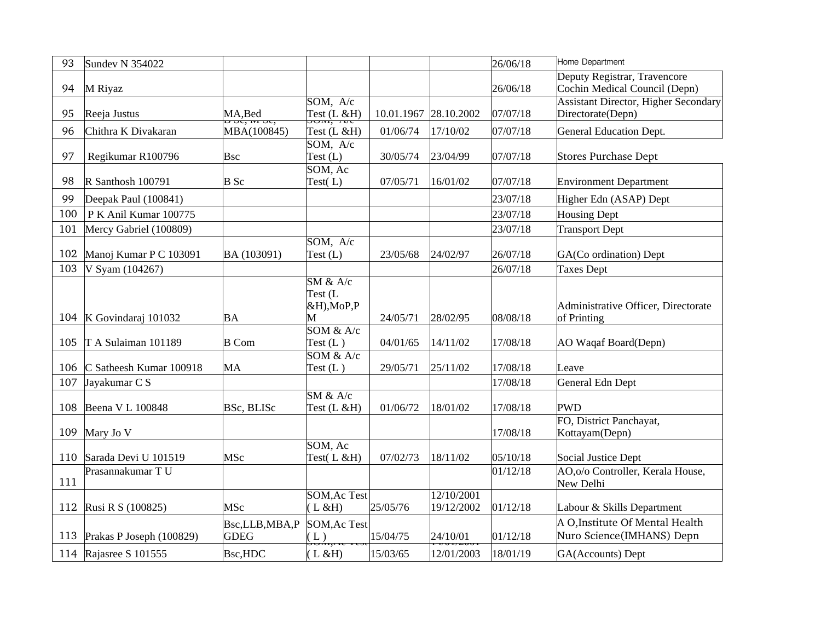| 93  | <b>Sundev N 354022</b>         |                              |                                                                                   |                       |                          | 26/06/18 | Home Department                                                  |
|-----|--------------------------------|------------------------------|-----------------------------------------------------------------------------------|-----------------------|--------------------------|----------|------------------------------------------------------------------|
| 94  | M Riyaz                        |                              |                                                                                   |                       |                          | 26/06/18 | Deputy Registrar, Travencore<br>Cochin Medical Council (Depn)    |
| 95  | Reeja Justus                   | $MA, Bed$ $D, O, W, O, G$    | SOM, A/c<br>Test (L & H)                                                          | 10.01.1967 28.10.2002 |                          | 07/07/18 | <b>Assistant Director, Higher Secondary</b><br>Directorate(Depn) |
| 96  | Chithra K Divakaran            | MBA(100845)                  | Test (L &H)                                                                       | 01/06/74              | 17/10/02                 | 07/07/18 | <b>General Education Dept.</b>                                   |
| 97  | Regikumar R100796              | Bsc                          | SOM, A/c<br>Test $(L)$                                                            | 30/05/74              | 23/04/99                 | 07/07/18 | <b>Stores Purchase Dept</b>                                      |
| 98  | R Santhosh 100791              | $B$ Sc                       | SOM, Ac<br>Test $(L)$                                                             | 07/05/71              | 16/01/02                 | 07/07/18 | <b>Environment Department</b>                                    |
| 99  | Deepak Paul (100841)           |                              |                                                                                   |                       |                          | 23/07/18 | Higher Edn (ASAP) Dept                                           |
| 100 | P K Anil Kumar 100775          |                              |                                                                                   |                       |                          | 23/07/18 | <b>Housing Dept</b>                                              |
| 101 | Mercy Gabriel (100809)         |                              |                                                                                   |                       |                          | 23/07/18 | <b>Transport Dept</b>                                            |
| 102 | Manoj Kumar P C 103091         | BA (103091)                  | SOM, A/c<br>Test $(L)$                                                            | 23/05/68              | 24/02/97                 | 26/07/18 | GA(Co ordination) Dept                                           |
| 103 | V Syam (104267)                |                              |                                                                                   |                       |                          | 26/07/18 | <b>Taxes Dept</b>                                                |
|     | 104   K Govindaraj 101032      | BA                           | $\overline{\text{SM } 8x \text{ A/c}}$<br>Test (L<br>&H), MoP, P<br>M             | 24/05/71              | 28/02/95                 | 08/08/18 | Administrative Officer, Directorate<br>of Printing               |
| 105 | T A Sulaiman 101189            | $B$ Com                      | 50M & A/c<br>Test $(L)$                                                           | 04/01/65              | 14/11/02                 | 17/08/18 | AO Waqaf Board(Depn)                                             |
| 106 | C Satheesh Kumar 100918        | MA                           | SOM & A/c<br>Test $(L)$                                                           | 29/05/71              | 25/11/02                 | 17/08/18 | Leave                                                            |
| 107 | Jayakumar C S                  |                              |                                                                                   |                       |                          | 17/08/18 | General Edn Dept                                                 |
| 108 | Beena V L 100848               | <b>BSc, BLISC</b>            | SM & A/c<br>Test (L &H)                                                           | 01/06/72              | 18/01/02                 | 17/08/18 | <b>PWD</b>                                                       |
| 109 | Mary Jo V                      |                              |                                                                                   |                       |                          | 17/08/18 | FO, District Panchayat,<br>Kottayam(Depn)                        |
| 110 | Sarada Devi U 101519           | <b>MSc</b>                   | SOM, Ac<br>Test(L &H)                                                             | 07/02/73              | 18/11/02                 | 05/10/18 | Social Justice Dept                                              |
| 111 | Prasannakumar T U              |                              |                                                                                   |                       |                          | 01/12/18 | AO,o/o Controller, Kerala House,<br>New Delhi                    |
| 112 | Rusi R S (100825)              | <b>MSc</b>                   | <b>SOM, Ac Test</b><br>(L & H)                                                    | 25/05/76              | 12/10/2001<br>19/12/2002 | 01/12/18 | Labour & Skills Department                                       |
|     | 113   Prakas P Joseph (100829) | Bsc,LLB,MBA,P<br><b>GDEG</b> | <b>SOM, Ac Test</b><br>$\left(\begin{smallmatrix} 1 \ 1 \end{smallmatrix}\right)$ | 15/04/75              | 24/10/01                 | 01/12/18 | A O, Institute Of Mental Health<br>Nuro Science(IMHANS) Depn     |
|     | 114 Rajasree S 101555          | <b>Bsc,HDC</b>               | (L & H)                                                                           | 15/03/65              | 12/01/2003               | 18/01/19 | GA(Accounts) Dept                                                |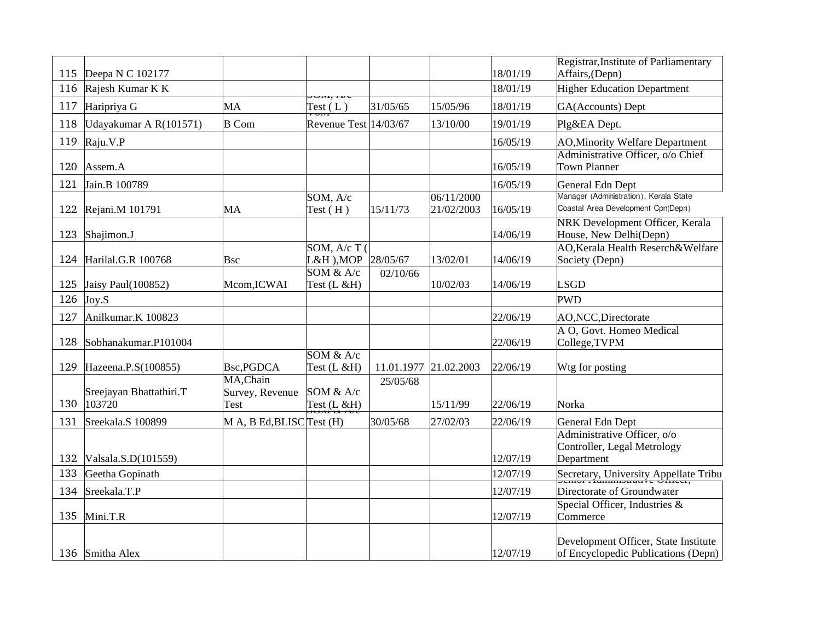| 115 | Deepa N C 102177                  |                                      |                              |                       |                          | 18/01/19 | Registrar, Institute of Parliamentary<br>Affairs, (Depn)                     |
|-----|-----------------------------------|--------------------------------------|------------------------------|-----------------------|--------------------------|----------|------------------------------------------------------------------------------|
| 116 | Rajesh Kumar K K                  |                                      |                              |                       |                          | 18/01/19 | <b>Higher Education Department</b>                                           |
| 117 | Haripriya G                       | MA                                   | JUM, <i>I</i> VC<br>Test (L) | 31/05/65              | 15/05/96                 | 18/01/19 | GA(Accounts) Dept                                                            |
| 118 | Udayakumar A R(101571)            | <b>B</b> Com                         | Revenue Test 14/03/67        |                       | 13/10/00                 | 19/01/19 | Plg&EA Dept.                                                                 |
| 119 | Raju.V.P                          |                                      |                              |                       |                          | 16/05/19 | <b>AO, Minority Welfare Department</b>                                       |
| 120 | Assem.A                           |                                      |                              |                       |                          | 16/05/19 | Administrative Officer, o/o Chief<br>Town Planner                            |
| 121 | Jain.B 100789                     |                                      |                              |                       |                          | 16/05/19 | General Edn Dept                                                             |
| 122 | Rejani.M 101791                   | MA                                   | SOM, A/c<br>Test $(H)$       | 15/11/73              | 06/11/2000<br>21/02/2003 | 16/05/19 | Manager (Administration), Kerala State<br>Coastal Area Development Cpn(Depn) |
| 123 | Shajimon.J                        |                                      |                              |                       |                          | 14/06/19 | NRK Development Officer, Kerala<br>House, New Delhi(Depn)                    |
| 124 | Harilal.G.R 100768                | <b>Bsc</b>                           | SOM, A/c T (<br>L&H ),MOP    | 28/05/67              | 13/02/01                 | 14/06/19 | AO, Kerala Health Reserch& Welfare<br>Society (Depn)                         |
| 125 | Jaisy Paul(100852)                | Mcom, ICWAI                          | SOM & A/c<br>Test (L &H)     | 02/10/66              | 10/02/03                 | 14/06/19 | <b>LSGD</b>                                                                  |
| 126 | Joy.S                             |                                      |                              |                       |                          |          | <b>PWD</b>                                                                   |
| 127 | Anilkumar.K 100823                |                                      |                              |                       |                          | 22/06/19 | AO, NCC, Directorate                                                         |
| 128 | Sobhanakumar.P101004              |                                      |                              |                       |                          | 22/06/19 | A O, Govt. Homeo Medical<br>College, TVPM                                    |
| 129 | Hazeena.P.S(100855)               | Bsc, PGDCA                           | SOM & A/c<br>Test (L &H)     | 11.01.1977 21.02.2003 |                          | 22/06/19 | Wtg for posting                                                              |
| 130 | Sreejayan Bhattathiri.T<br>103720 | MA, Chain<br>Survey, Revenue<br>Test | SOM & A/c<br>Test (L & H)    | 25/05/68              | 15/11/99                 | 22/06/19 | Norka                                                                        |
| 131 | Sreekala.S 100899                 | M A, B Ed, BLISC Test (H)            |                              | 30/05/68              | 27/02/03                 | 22/06/19 | General Edn Dept                                                             |
| 132 | Valsala.S.D(101559)               |                                      |                              |                       |                          | 12/07/19 | Administrative Officer, o/o<br>Controller, Legal Metrology<br>Department     |
| 133 | Geetha Gopinath                   |                                      |                              |                       |                          | 12/07/19 | Secretary, University Appellate Tribu                                        |
| 134 | Sreekala.T.P                      |                                      |                              |                       |                          | 12/07/19 | Directorate of Groundwater                                                   |
| 135 | Mini.T.R                          |                                      |                              |                       |                          | 12/07/19 | Special Officer, Industries &<br>Commerce                                    |
|     | 136 Smitha Alex                   |                                      |                              |                       |                          | 12/07/19 | Development Officer, State Institute<br>of Encyclopedic Publications (Depn)  |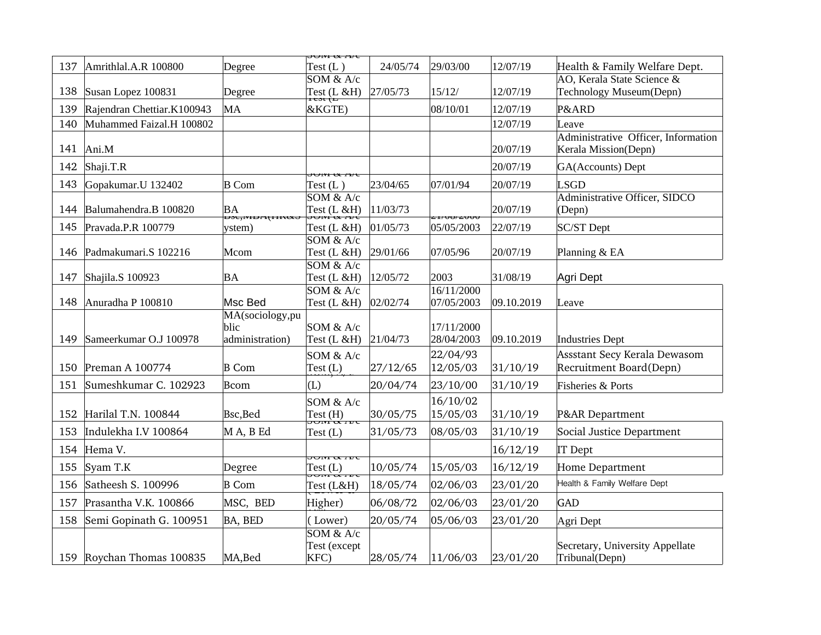|     |                            |                                               | $J$ UIVI OC $I$ ivic                                                |          |                                         |            |                                                             |
|-----|----------------------------|-----------------------------------------------|---------------------------------------------------------------------|----------|-----------------------------------------|------------|-------------------------------------------------------------|
| 137 | Amrithlal.A.R 100800       | Degree                                        | Test(L)                                                             | 24/05/74 | 29/03/00                                | 12/07/19   | Health & Family Welfare Dept.                               |
|     |                            |                                               | SOM & A/c                                                           |          |                                         |            | AO, Kerala State Science &                                  |
| 138 | Susan Lopez 100831         | Degree                                        | Test (L & H)                                                        | 27/05/73 | 15/12/                                  | 12/07/19   | Technology Museum(Depn)                                     |
| 139 | Rajendran Chettiar.K100943 | MA                                            | &KGTE)                                                              |          | 08/10/01                                | 12/07/19   | P&ARD                                                       |
| 140 | Muhammed Faizal.H 100802   |                                               |                                                                     |          |                                         | 12/07/19   | Leave                                                       |
| 141 | Ani.M                      |                                               |                                                                     |          |                                         | 20/07/19   | Administrative Officer, Information<br>Kerala Mission(Depn) |
| 142 | Shaji.T.R                  |                                               | <del>טעז ש מט</del> ע                                               |          |                                         | 20/07/19   | GA(Accounts) Dept                                           |
| 143 | Gopakumar.U 132402         | $B$ Com                                       | Test(L)                                                             | 23/04/65 | 07/01/94                                | 20/07/19   | <b>LSGD</b>                                                 |
| 144 | Balumahendra.B 100820      | ΒA                                            | SOM & A/c<br>Test (L &H)                                            | 11/03/73 |                                         | 20/07/19   | Administrative Officer, SIDCO<br>(Depn)                     |
| 145 | Pravada.P.R 100779         | <del>טאתונון <i>נעוון</i>, אס</del><br>vstem) | Test (L &H)                                                         | 01/05/73 | <del>- 17 งษา 2 งงง</del><br>05/05/2003 | 22/07/19   | <b>SC/ST Dept</b>                                           |
|     |                            |                                               | SOM & A/c                                                           |          |                                         |            |                                                             |
| 146 | Padmakumari.S 102216       | Mcom                                          | Test $(L & H)$                                                      | 29/01/66 | 07/05/96                                | 20/07/19   | Planning & EA                                               |
|     |                            |                                               | SOM & A/c                                                           |          |                                         |            |                                                             |
| 147 | Shajila.S 100923           | ΒA                                            | Test (L &H)<br>SOM & A/c                                            | 12/05/72 | 2003<br>16/11/2000                      | 31/08/19   | Agri Dept                                                   |
| 148 | Anuradha P 100810          | Msc Bed                                       | Test (L &H)                                                         | 02/02/74 | 07/05/2003                              | 09.10.2019 | Leave                                                       |
| 149 | Sameerkumar O.J 100978     | MA(sociology,pu<br>blic<br>administration)    | SOM & A/c<br>Test (L &H)                                            | 21/04/73 | 17/11/2000<br>28/04/2003                | 09.10.2019 | <b>Industries Dept</b>                                      |
|     |                            |                                               | SOM & A/c                                                           |          | 22/04/93                                |            | Assstant Secy Kerala Dewasom                                |
| 150 | Preman A 100774            | <b>B</b> Com                                  | Test (L)                                                            | 27/12/65 | 12/05/03                                | 31/10/19   | Recruitment Board(Depn)                                     |
| 151 | Sumeshkumar C. 102923      | Bcom                                          | (L)                                                                 | 20/04/74 | 23/10/00                                | 31/10/19   | Fisheries & Ports                                           |
| 152 | Harilal T.N. 100844        | Bsc, Bed                                      | SOM & A/c<br>Test (H)<br><del>JOM &amp; IVC</del>                   | 30/05/75 | 16/10/02<br>15/05/03                    | 31/10/19   | P&AR Department                                             |
| 153 | Indulekha I.V 100864       | M A, B Ed                                     | Test $(L)$                                                          | 31/05/73 | 08/05/03                                | 31/10/19   | Social Justice Department                                   |
| 154 | Hema V.                    |                                               |                                                                     |          |                                         | 16/12/19   | <b>IT</b> Dept                                              |
| 155 | Syam T.K                   | Degree                                        | <del>טעז א מע</del> ט<br>Test (L)<br><del>JOM &amp; <i>I</i>V</del> | 10/05/74 | 15/05/03                                | 16/12/19   | Home Department                                             |
| 156 | Satheesh S. 100996         | <b>B</b> Com                                  | Test (L&H)                                                          | 18/05/74 | 02/06/03                                | 23/01/20   | Health & Family Welfare Dept                                |
| 157 | Prasantha V.K. 100866      | MSC, BED                                      | Higher)                                                             | 06/08/72 | 02/06/03                                | 23/01/20   | <b>GAD</b>                                                  |
| 158 | Semi Gopinath G. 100951    | <b>BA, BED</b>                                | (Lower)                                                             | 20/05/74 | 05/06/03                                | 23/01/20   | Agri Dept                                                   |
|     | 159 Roychan Thomas 100835  | MA, Bed                                       | SOM & A/c<br>Test (except<br>KFC)                                   | 28/05/74 | 11/06/03                                | 23/01/20   | Secretary, University Appellate<br>Tribunal(Depn)           |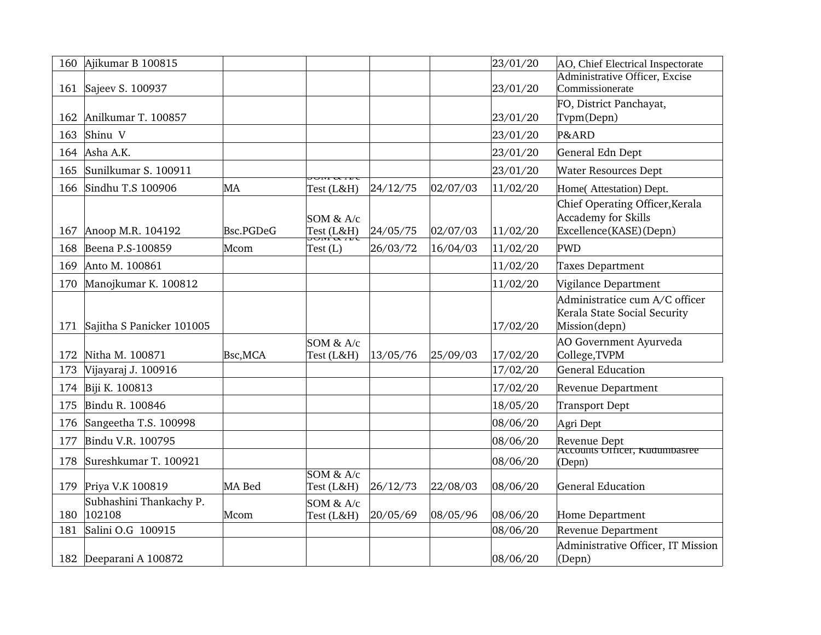| 160 | Ajikumar B 100815                 |           |                              |          |          | 23/01/20 | AO, Chief Electrical Inspectorate                                                |
|-----|-----------------------------------|-----------|------------------------------|----------|----------|----------|----------------------------------------------------------------------------------|
| 161 | Sajeev S. 100937                  |           |                              |          |          | 23/01/20 | Administrative Officer, Excise<br>Commissionerate                                |
| 162 | Anilkumar T. 100857               |           |                              |          |          | 23/01/20 | FO, District Panchayat,<br>Tvpm(Depn)                                            |
| 163 | Shinu V                           |           |                              |          |          | 23/01/20 | P&ARD                                                                            |
| 164 | Asha A.K.                         |           |                              |          |          | 23/01/20 | General Edn Dept                                                                 |
| 165 | Sunilkumar S. 100911              |           |                              |          |          | 23/01/20 | <b>Water Resources Dept</b>                                                      |
| 166 | Sindhu T.S 100906                 | MA        | 7010 0 71 17 U<br>Test (L&H) | 24/12/75 | 02/07/03 | 11/02/20 | Home( Attestation) Dept.                                                         |
| 167 | Anoop M.R. 104192                 | Bsc.PGDeG | SOM & A/c<br>Test (L&H)      | 24/05/75 | 02/07/03 | 11/02/20 | Chief Operating Officer, Kerala<br>Accademy for Skills<br>Excellence(KASE)(Depn) |
| 168 | Beena P.S-100859                  | Mcom      | Test(L)                      | 26/03/72 | 16/04/03 | 11/02/20 | <b>PWD</b>                                                                       |
| 169 | Anto M. 100861                    |           |                              |          |          | 11/02/20 | <b>Taxes Department</b>                                                          |
| 170 | Manojkumar K. 100812              |           |                              |          |          | 11/02/20 | Vigilance Department                                                             |
| 171 | Sajitha S Panicker 101005         |           |                              |          |          | 17/02/20 | Administratice cum A/C officer<br>Kerala State Social Security<br>Mission(depn)  |
| 172 | Nitha M. 100871                   | Bsc, MCA  | SOM & A/c<br>Test (L&H)      | 13/05/76 | 25/09/03 | 17/02/20 | AO Government Ayurveda<br>College, TVPM                                          |
| 173 | Vijayaraj J. 100916               |           |                              |          |          | 17/02/20 | <b>General Education</b>                                                         |
|     | 174 Biji K. 100813                |           |                              |          |          | 17/02/20 | <b>Revenue Department</b>                                                        |
| 175 | Bindu R. 100846                   |           |                              |          |          | 18/05/20 | <b>Transport Dept</b>                                                            |
| 176 | Sangeetha T.S. 100998             |           |                              |          |          | 08/06/20 | Agri Dept                                                                        |
| 177 | Bindu V.R. 100795                 |           |                              |          |          | 08/06/20 | Revenue Dept                                                                     |
| 178 | Sureshkumar T. 100921             |           |                              |          |          | 08/06/20 | Accounts Officer, Kudumbasree<br>(Depn)                                          |
| 179 | Priya V.K 100819                  | MA Bed    | SOM & A/c<br>Test (L&H)      | 26/12/73 | 22/08/03 | 08/06/20 | <b>General Education</b>                                                         |
| 180 | Subhashini Thankachy P.<br>102108 | Mcom      | SOM & A/c<br>Test (L&H)      | 20/05/69 | 08/05/96 | 08/06/20 | Home Department                                                                  |
| 181 | Salini O.G 100915                 |           |                              |          |          | 08/06/20 | <b>Revenue Department</b>                                                        |
|     | 182 Deeparani A 100872            |           |                              |          |          | 08/06/20 | Administrative Officer, IT Mission<br>(Depn)                                     |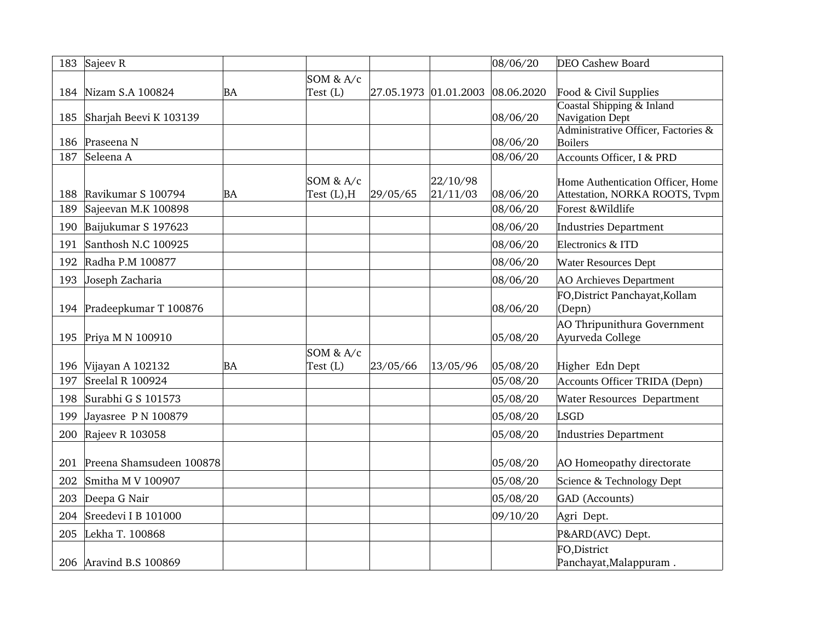| 183 | Sajeev <sub>R</sub>       |    |                                 |          |                                  | 08/06/20 | <b>DEO Cashew Board</b>                                             |
|-----|---------------------------|----|---------------------------------|----------|----------------------------------|----------|---------------------------------------------------------------------|
|     |                           |    | SOM & A/c                       |          |                                  |          |                                                                     |
|     | 184 Nizam S.A 100824      | BA | Test $(L)$                      |          | 27.05.1973 01.01.2003 08.06.2020 |          | Food & Civil Supplies                                               |
| 185 | Sharjah Beevi K 103139    |    |                                 |          |                                  | 08/06/20 | Coastal Shipping & Inland<br><b>Navigation Dept</b>                 |
| 186 | Praseena N                |    |                                 |          |                                  | 08/06/20 | Administrative Officer, Factories &<br>Boilers                      |
| 187 | Seleena A                 |    |                                 |          |                                  | 08/06/20 | Accounts Officer, I & PRD                                           |
| 188 | Ravikumar S 100794        | BA | SOM $&$ A/c<br>Test $(L)$ , $H$ | 29/05/65 | 22/10/98<br>21/11/03             | 08/06/20 | Home Authentication Officer, Home<br>Attestation, NORKA ROOTS, Tvpm |
| 189 | Sajeevan M.K 100898       |    |                                 |          |                                  | 08/06/20 | Forest & Wildlife                                                   |
| 190 | Baijukumar S 197623       |    |                                 |          |                                  | 08/06/20 | Industries Department                                               |
| 191 | Santhosh N.C 100925       |    |                                 |          |                                  | 08/06/20 | Electronics & ITD                                                   |
| 192 | Radha P.M 100877          |    |                                 |          |                                  | 08/06/20 | <b>Water Resources Dept</b>                                         |
| 193 | Joseph Zacharia           |    |                                 |          |                                  | 08/06/20 | <b>AO Archieves Department</b>                                      |
|     | 194 Pradeepkumar T 100876 |    |                                 |          |                                  | 08/06/20 | FO, District Panchayat, Kollam<br>(Depn)                            |
| 195 | Priya M N 100910          |    |                                 |          |                                  | 05/08/20 | AO Thripunithura Government<br>Ayurveda College                     |
|     |                           |    | SOM & A/c                       |          |                                  |          |                                                                     |
| 196 | Vijayan A 102132          | BA | Test (L)                        | 23/05/66 | 13/05/96                         | 05/08/20 | Higher Edn Dept                                                     |
| 197 | Sreelal R 100924          |    |                                 |          |                                  | 05/08/20 | <b>Accounts Officer TRIDA (Depn)</b>                                |
| 198 | Surabhi G S 101573        |    |                                 |          |                                  | 05/08/20 | Water Resources Department                                          |
| 199 | Jayasree P N 100879       |    |                                 |          |                                  | 05/08/20 | <b>LSGD</b>                                                         |
| 200 | Rajeev R 103058           |    |                                 |          |                                  | 05/08/20 | <b>Industries Department</b>                                        |
| 201 | Preena Shamsudeen 100878  |    |                                 |          |                                  | 05/08/20 | AO Homeopathy directorate                                           |
| 202 | Smitha M V 100907         |    |                                 |          |                                  | 05/08/20 | Science & Technology Dept                                           |
| 203 | Deepa G Nair              |    |                                 |          |                                  | 05/08/20 | GAD (Accounts)                                                      |
| 204 | Sreedevi I B 101000       |    |                                 |          |                                  | 09/10/20 | Agri Dept.                                                          |
| 205 | Lekha T. 100868           |    |                                 |          |                                  |          | P&ARD(AVC) Dept.                                                    |
|     | 206 Aravind B.S 100869    |    |                                 |          |                                  |          | FO, District<br>Panchayat, Malappuram.                              |